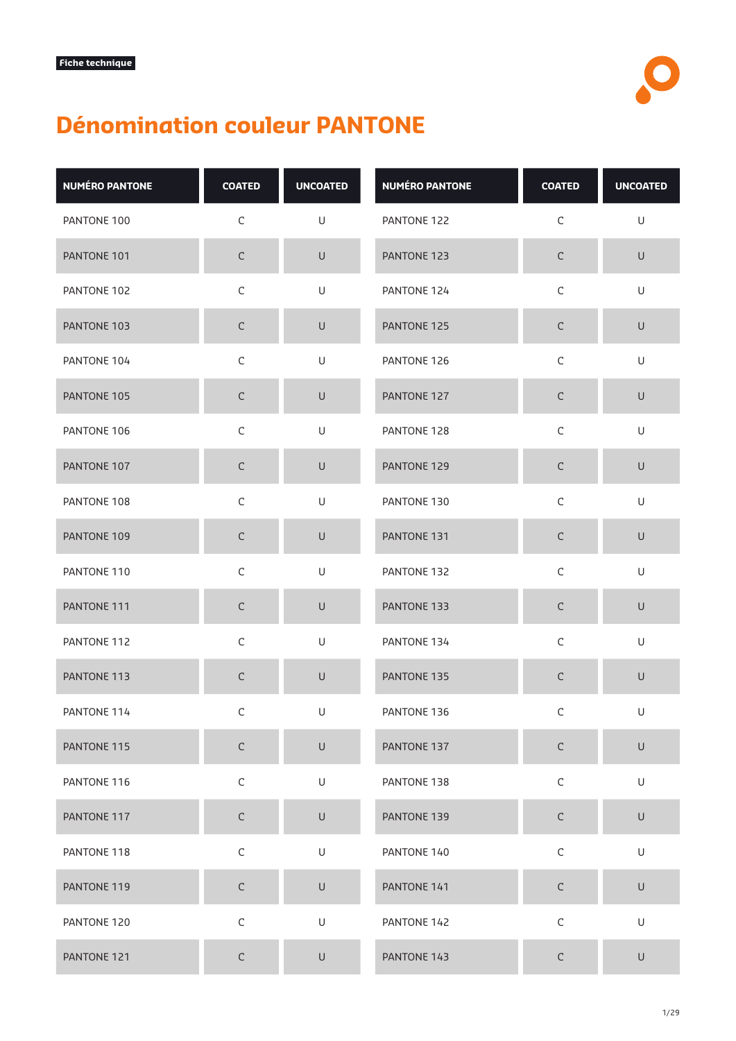## **Dénomination couleur PANTONE**

| <b>NUMÉRO PANTONE</b> | <b>COATED</b> | <b>UNCOATED</b> | <b>NUMÉRO PANTONE</b> | <b>COATED</b> | <b>UNCOATED</b> |
|-----------------------|---------------|-----------------|-----------------------|---------------|-----------------|
| PANTONE 100           | $\mathsf C$   | U               | PANTONE 122           | $\mathsf C$   | U               |
| PANTONE 101           | $\mathsf C$   | $\sf U$         | PANTONE 123           | $\mathsf C$   | $\mathsf U$     |
| PANTONE 102           | $\mathsf C$   | U               | PANTONE 124           | $\mathsf C$   | U               |
| PANTONE 103           | $\mathsf C$   | $\cup$          | PANTONE 125           | $\mathsf C$   | $\mathsf U$     |
| PANTONE 104           | $\mathsf C$   | U               | PANTONE 126           | $\mathsf C$   | U               |
| PANTONE 105           | $\mathsf C$   | $\cup$          | PANTONE 127           | $\mathsf C$   | U               |
| PANTONE 106           | $\mathsf C$   | U               | PANTONE 128           | $\mathsf C$   | U               |
| PANTONE 107           | $\mathsf C$   | $\cup$          | PANTONE 129           | $\mathsf C$   | $\cup$          |
| PANTONE 108           | $\mathsf C$   | U               | PANTONE 130           | $\mathsf C$   | U               |
| PANTONE 109           | $\mathsf C$   | U               | PANTONE 131           | $\mathsf C$   | $\cup$          |
| PANTONE 110           | $\mathsf C$   | U               | PANTONE 132           | $\mathsf C$   | U               |
| PANTONE 111           | $\mathsf C$   | $\cup$          | PANTONE 133           | $\mathsf C$   | $\cup$          |
| PANTONE 112           | $\mathsf C$   | U               | PANTONE 134           | $\mathsf C$   | U               |
| PANTONE 113           | $\mathsf C$   | $\mathsf U$     | PANTONE 135           | $\mathsf C$   | $\mathsf U$     |
| PANTONE 114           | $\mathsf C$   | U               | PANTONE 136           | $\mathsf C$   | U               |
| PANTONE 115           | $\mathsf C$   | U               | PANTONE 137           | $\mathsf C$   | U               |
| PANTONE 116           | $\mathsf C$   | $\mathsf U$     | PANTONE 138           | $\mathsf C$   | U               |
| PANTONE 117           | $\mathsf C$   | $\sf U$         | PANTONE 139           | $\mathsf C$   | $\sf U$         |
| PANTONE 118           | $\mathsf C$   | U               | PANTONE 140           | $\mathsf C$   | U               |
| PANTONE 119           | $\mathsf C$   | $\cup$          | PANTONE 141           | $\mathsf C$   | $\cup$          |
| PANTONE 120           | $\mathsf C$   | $\cup$          | PANTONE 142           | $\mathsf C$   | $\mathsf U$     |
| PANTONE 121           | $\mathsf C$   | $\mathsf U$     | PANTONE 143           | $\mathsf C$   | $\cup$          |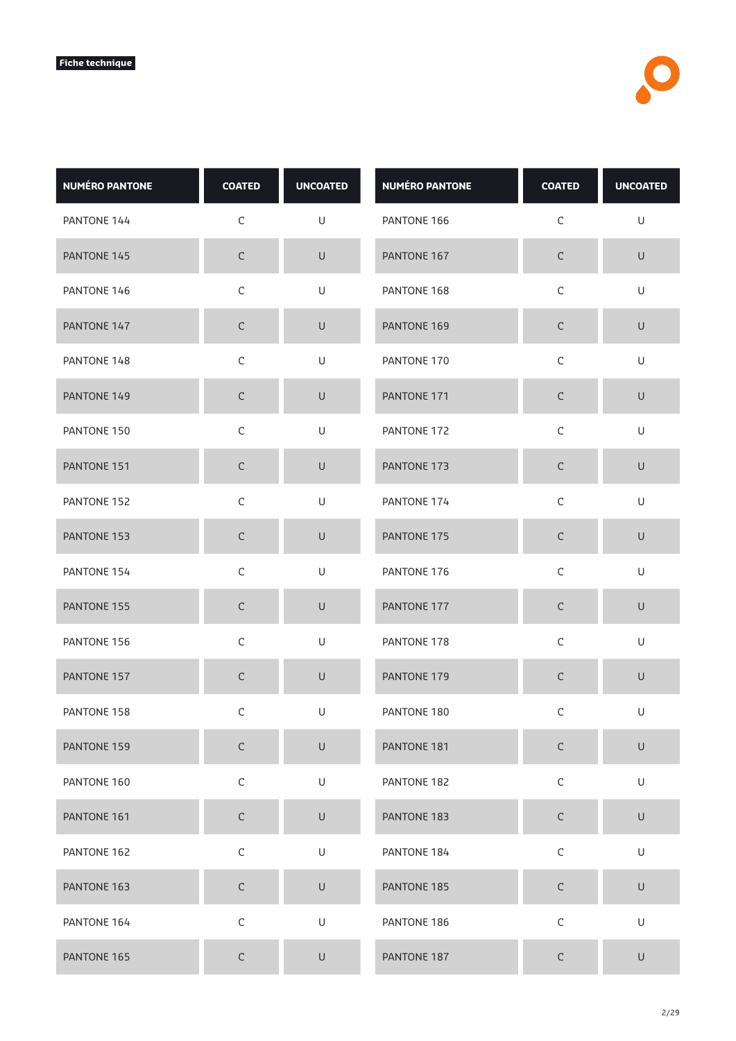| <b>NUMÉRO PANTONE</b> | <b>COATED</b> | <b>UNCOATED</b>                                                                                            | <b>NUMÉRO PANTONE</b> | <b>COATED</b> | <b>UNCOATED</b> |
|-----------------------|---------------|------------------------------------------------------------------------------------------------------------|-----------------------|---------------|-----------------|
| PANTONE 144           | $\mathsf C$   | U                                                                                                          | PANTONE 166           | $\mathsf C$   | $\mathsf U$     |
| PANTONE 145           | $\mathsf C$   | $\sf U$                                                                                                    | PANTONE 167           | $\mathsf C$   | $\sf U$         |
| PANTONE 146           | $\mathsf C$   | U                                                                                                          | PANTONE 168           | $\mathsf C$   | U               |
| PANTONE 147           | $\mathsf C$   | U                                                                                                          | PANTONE 169           | C             | $\cup$          |
| PANTONE 148           | $\mathsf C$   | U                                                                                                          | PANTONE 170           | $\mathsf C$   | $\mathsf U$     |
| PANTONE 149           | $\mathsf C$   | $\cup$                                                                                                     | PANTONE 171           | $\mathsf C$   | $\sf U$         |
| PANTONE 150           | $\mathsf C$   | U                                                                                                          | PANTONE 172           | $\mathsf C$   | U               |
| PANTONE 151           | $\mathsf C$   | $\cup$                                                                                                     | PANTONE 173           | $\mathsf C$   | $\sf U$         |
| PANTONE 152           | $\mathsf C$   | U                                                                                                          | PANTONE 174           | $\mathsf C$   | $\mathsf U$     |
| PANTONE 153           | $\mathsf C$   | $\cup$                                                                                                     | PANTONE 175           | $\mathsf C$   | $\sf U$         |
| PANTONE 154           | $\mathsf C$   | U                                                                                                          | PANTONE 176           | $\mathsf C$   | U               |
| PANTONE 155           | $\mathsf C$   | $\cup$                                                                                                     | PANTONE 177           | $\mathsf C$   | $\sf U$         |
| PANTONE 156           | $\mathsf C$   | U                                                                                                          | PANTONE 178           | $\mathsf C$   | U               |
| PANTONE 157           | $\mathsf C$   | $\cup$                                                                                                     | PANTONE 179           | $\mathsf C$   | $\sf U$         |
| PANTONE 158           | $\mathsf C$   | U                                                                                                          | PANTONE 180           | $\mathsf C$   | U               |
| PANTONE 159           | $\mathsf C$   | $\cup$                                                                                                     | PANTONE 181           | $\mathsf C$   | $\sf U$         |
| PANTONE 160           | $\mathsf C$   | U                                                                                                          | PANTONE 182           | $\mathsf C$   | U               |
| PANTONE 161           | $\mathsf C$   | $\cup$                                                                                                     | PANTONE 183           | $\mathsf C$   | $\mathsf U$     |
| PANTONE 162           | $\mathsf C$   | $\mathsf{U}% _{T}=\mathsf{U}_{T}\!\left( a,b\right) ,\ \mathsf{U}_{T}=\mathsf{U}_{T}\!\left( a,b\right) ,$ | PANTONE 184           | $\mathsf C$   | U               |
| PANTONE 163           | $\mathsf C$   | $\mathsf U$                                                                                                | PANTONE 185           | $\mathsf C$   | $\sf U$         |
| PANTONE 164           | $\mathsf C$   | $\mathsf{U}% _{T}=\mathsf{U}_{T}\!\left( a,b\right) ,\ \mathsf{U}_{T}=\mathsf{U}_{T}\!\left( a,b\right) ,$ | PANTONE 186           | $\mathsf C$   | U               |
| PANTONE 165           | $\mathsf C$   | $\sf U$                                                                                                    | PANTONE 187           | C             | U               |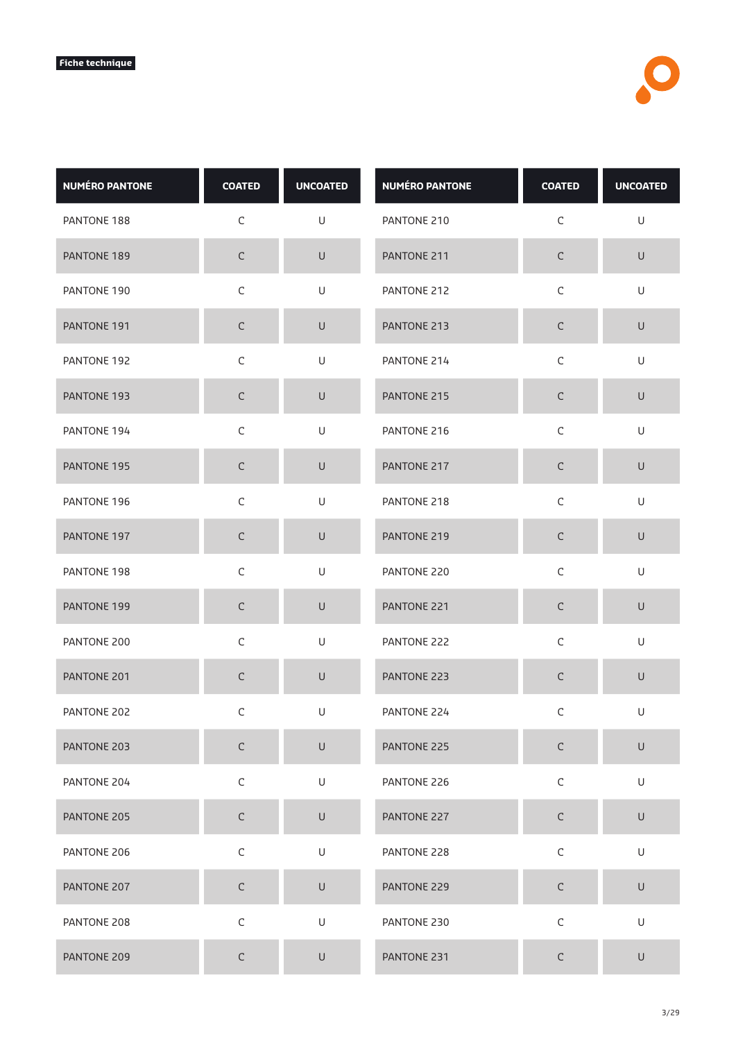| <b>NUMÉRO PANTONE</b> | <b>COATED</b> | <b>UNCOATED</b>                                                                                            | <b>NUMÉRO PANTONE</b> | <b>COATED</b> | <b>UNCOATED</b> |
|-----------------------|---------------|------------------------------------------------------------------------------------------------------------|-----------------------|---------------|-----------------|
| PANTONE 188           | $\mathsf C$   | U                                                                                                          | PANTONE 210           | $\mathsf C$   | $\mathsf U$     |
| PANTONE 189           | $\mathsf C$   | $\sf U$                                                                                                    | PANTONE 211           | $\mathsf C$   | $\sf U$         |
| PANTONE 190           | $\mathsf C$   | U                                                                                                          | PANTONE 212           | $\mathsf C$   | U               |
| PANTONE 191           | $\mathsf C$   | U                                                                                                          | PANTONE 213           | C             | $\cup$          |
| PANTONE 192           | $\mathsf C$   | U                                                                                                          | PANTONE 214           | $\mathsf C$   | $\mathsf U$     |
| PANTONE 193           | $\mathsf C$   | $\cup$                                                                                                     | PANTONE 215           | $\mathsf C$   | U               |
| PANTONE 194           | $\mathsf C$   | U                                                                                                          | PANTONE 216           | $\mathsf C$   | U               |
| PANTONE 195           | $\mathsf C$   | $\cup$                                                                                                     | PANTONE 217           | $\mathsf C$   | $\sf U$         |
| PANTONE 196           | $\mathsf C$   | U                                                                                                          | PANTONE 218           | $\mathsf C$   | $\mathsf U$     |
| PANTONE 197           | $\mathsf C$   | $\cup$                                                                                                     | PANTONE 219           | $\mathsf C$   | $\sf U$         |
| PANTONE 198           | $\mathsf C$   | U                                                                                                          | PANTONE 220           | $\mathsf C$   | U               |
| PANTONE 199           | $\mathsf C$   | $\cup$                                                                                                     | PANTONE 221           | C             | $\sf U$         |
| PANTONE 200           | $\mathsf C$   | U                                                                                                          | PANTONE 222           | $\mathsf C$   | U               |
| PANTONE 201           | $\mathsf C$   | $\cup$                                                                                                     | PANTONE 223           | $\mathsf C$   | U               |
| PANTONE 202           | $\mathsf C$   | U                                                                                                          | PANTONE 224           | $\mathsf C$   | U               |
| PANTONE 203           | $\mathsf C$   | $\cup$                                                                                                     | PANTONE 225           | $\mathsf C$   | $\sf U$         |
| PANTONE 204           | $\mathsf C$   | U                                                                                                          | PANTONE 226           | $\mathsf C$   | U               |
| PANTONE 205           | $\mathsf C$   | $\cup$                                                                                                     | PANTONE 227           | $\mathsf C$   | $\mathsf U$     |
| PANTONE 206           | $\mathsf C$   | $\mathsf{U}% _{T}=\mathsf{U}_{T}\!\left( a,b\right) ,\ \mathsf{U}_{T}=\mathsf{U}_{T}\!\left( a,b\right) ,$ | PANTONE 228           | $\mathsf C$   | U               |
| PANTONE 207           | $\mathsf C$   | $\mathsf U$                                                                                                | PANTONE 229           | $\mathsf C$   | $\sf U$         |
| PANTONE 208           | $\mathsf C$   | $\mathsf{U}% _{T}=\mathsf{U}_{T}\!\left( a,b\right) ,\ \mathsf{U}_{T}=\mathsf{U}_{T}\!\left( a,b\right) ,$ | PANTONE 230           | $\mathsf C$   | U               |
| PANTONE 209           | $\mathsf C$   | U                                                                                                          | PANTONE 231           | C             | U               |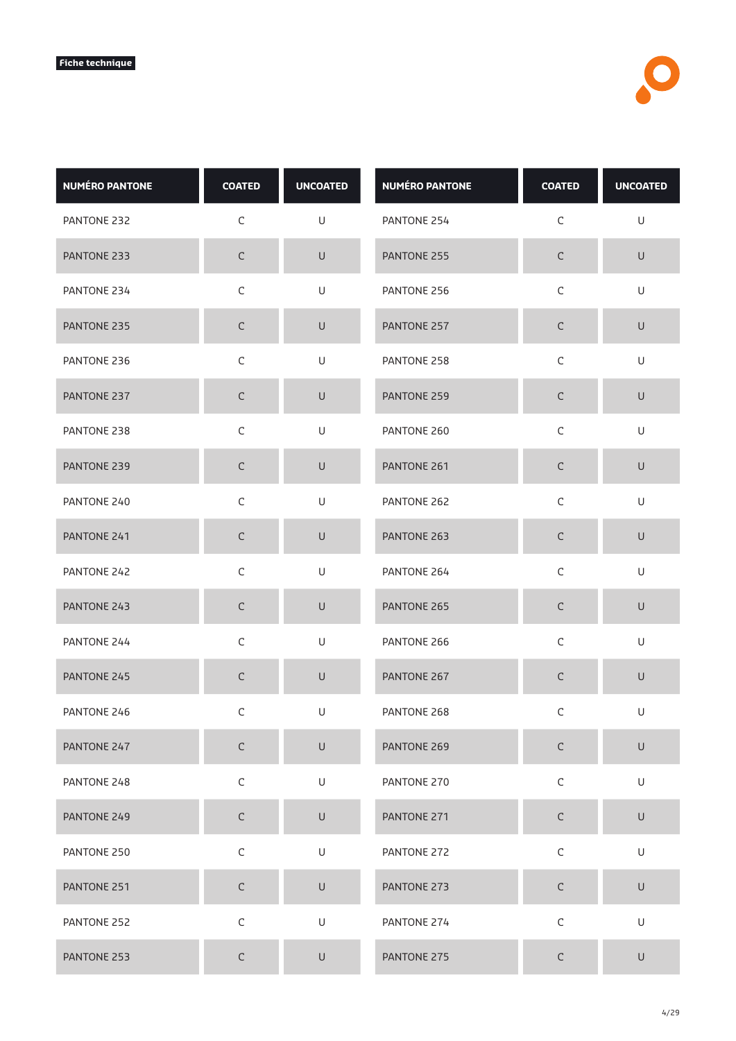| <b>NUMÉRO PANTONE</b> | <b>COATED</b> | <b>UNCOATED</b> | <b>NUMÉRO PANTONE</b> | <b>COATED</b> | <b>UNCOATED</b> |
|-----------------------|---------------|-----------------|-----------------------|---------------|-----------------|
| PANTONE 232           | $\mathsf C$   | U               | PANTONE 254           | $\mathsf C$   | U               |
| PANTONE 233           | $\mathsf C$   | $\sf U$         | PANTONE 255           | $\mathsf C$   | $\sf U$         |
| PANTONE 234           | $\mathsf C$   | U               | PANTONE 256           | $\mathsf C$   | U               |
| PANTONE 235           | $\mathsf C$   | $\cup$          | PANTONE 257           | С             | $\cup$          |
| PANTONE 236           | $\mathsf C$   | $\mathsf U$     | PANTONE 258           | $\mathsf C$   | $\sf U$         |
| PANTONE 237           | $\mathsf C$   | $\sf U$         | PANTONE 259           | $\mathsf C$   | $\sf U$         |
| PANTONE 238           | $\mathsf C$   | U               | PANTONE 260           | $\mathsf C$   | U               |
| PANTONE 239           | $\mathsf C$   | $\sf U$         | PANTONE 261           | $\mathsf C$   | $\sf U$         |
| PANTONE 240           | $\mathsf C$   | $\sf U$         | PANTONE 262           | $\mathsf C$   | $\cup$          |
| PANTONE 241           | $\mathsf C$   | $\sf U$         | PANTONE 263           | $\mathsf C$   | $\sf U$         |
| PANTONE 242           | $\mathsf C$   | U               | PANTONE 264           | $\mathsf C$   | U               |
| PANTONE 243           | C             | $\cup$          | PANTONE 265           | $\mathsf C$   | $\sf U$         |
| PANTONE 244           | $\mathsf C$   | U               | PANTONE 266           | $\mathsf C$   | U               |
| PANTONE 245           | $\mathsf C$   | $\mathsf U$     | PANTONE 267           | $\mathsf C$   | $\sf U$         |
| PANTONE 246           | $\mathsf C$   | U               | PANTONE 268           | C             | U               |
| PANTONE 247           | $\mathsf C$   | $\sf U$         | PANTONE 269           | $\mathsf C$   | $\sf U$         |
| PANTONE 248           | $\mathsf C$   | U               | PANTONE 270           | $\mathsf C$   | U               |
| PANTONE 249           | $\mathsf C$   | $\mathsf U$     | PANTONE 271           | $\mathsf C$   | $\mathsf U$     |
| PANTONE 250           | $\mathsf C$   | $\mathsf U$     | PANTONE 272           | $\mathsf C$   | U               |
| PANTONE 251           | $\mathsf C$   | $\sf U$         | PANTONE 273           | $\mathsf C$   | $\sf U$         |
| PANTONE 252           | $\mathsf C$   | U               | PANTONE 274           | $\mathsf C$   | U               |
| PANTONE 253           | $\mathsf C$   | $\sf U$         | PANTONE 275           | С             | $\sf U$         |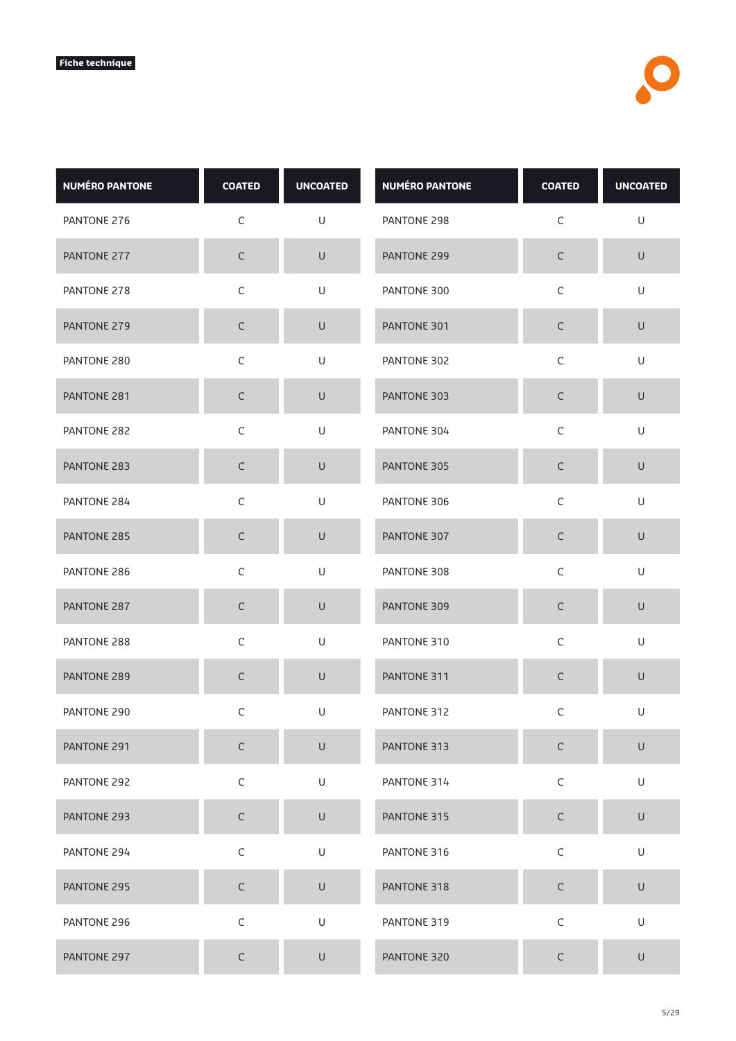| <b>NUMÉRO PANTONE</b> | <b>COATED</b> | <b>UNCOATED</b> | <b>NUMÉRO PANTONE</b> | <b>COATED</b> | <b>UNCOATED</b>                                                                                            |
|-----------------------|---------------|-----------------|-----------------------|---------------|------------------------------------------------------------------------------------------------------------|
| PANTONE 276           | $\mathsf C$   | U               | PANTONE 298           | $\mathsf C$   | $\sf U$                                                                                                    |
| PANTONE 277           | $\mathsf C$   | U               | PANTONE 299           | $\mathsf C$   | $\sf U$                                                                                                    |
| PANTONE 278           | $\mathsf C$   | U               | PANTONE 300           | $\mathsf C$   | U                                                                                                          |
| PANTONE 279           | $\mathsf C$   | U               | PANTONE 301           | $\mathsf C$   | $\cup$                                                                                                     |
| PANTONE 280           | $\mathsf C$   | U               | PANTONE 302           | $\mathsf C$   | U                                                                                                          |
| PANTONE 281           | $\mathsf C$   | $\sf U$         | PANTONE 303           | $\mathsf C$   | $\mathsf U$                                                                                                |
| PANTONE 282           | $\mathsf C$   | U               | PANTONE 304           | $\mathsf C$   | U                                                                                                          |
| PANTONE 283           | $\mathsf C$   | $\mathsf U$     | PANTONE 305           | $\mathsf C$   | $\sf U$                                                                                                    |
| PANTONE 284           | $\mathsf C$   | U               | PANTONE 306           | $\mathsf C$   | $\mathsf{U}% _{T}=\mathsf{U}_{T}\!\left( a,b\right) ,\ \mathsf{U}_{T}=\mathsf{U}_{T}\!\left( a,b\right) ,$ |
| PANTONE 285           | $\mathsf C$   | $\sf U$         | PANTONE 307           | $\mathsf C$   | $\sf U$                                                                                                    |
| PANTONE 286           | $\mathsf C$   | U               | PANTONE 308           | $\mathsf C$   | U                                                                                                          |
| PANTONE 287           | $\mathsf C$   | $\cup$          | PANTONE 309           | $\mathsf C$   | $\sf U$                                                                                                    |
| PANTONE 288           | $\mathsf C$   | U               | PANTONE 310           | $\mathsf C$   | U                                                                                                          |
| PANTONE 289           | $\mathsf C$   | $\cup$          | PANTONE 311           | $\mathsf C$   | $\sf U$                                                                                                    |
| PANTONE 290           | $\mathsf C$   | U               | PANTONE 312           | $\mathsf C$   | U                                                                                                          |
| PANTONE 291           | $\mathsf C$   | $\sf U$         | PANTONE 313           | $\mathsf C$   | $\sf U$                                                                                                    |
| PANTONE 292           | $\mathsf C$   | U               | PANTONE 314           | $\mathsf C$   | U                                                                                                          |
| PANTONE 293           | $\mathsf C$   | $\mathsf U$     | PANTONE 315           | $\mathsf C$   | $\mathsf U$                                                                                                |
| PANTONE 294           | $\mathsf C$   | $\mathsf U$     | PANTONE 316           | $\mathsf C$   | U                                                                                                          |
| PANTONE 295           | $\mathsf C$   | $\sf U$         | PANTONE 318           | $\mathsf C$   | $\sf U$                                                                                                    |
| PANTONE 296           | $\mathsf C$   | U               | PANTONE 319           | $\mathsf C$   | U                                                                                                          |
| PANTONE 297           | $\mathsf C$   | U               | PANTONE 320           | С             | $\sf U$                                                                                                    |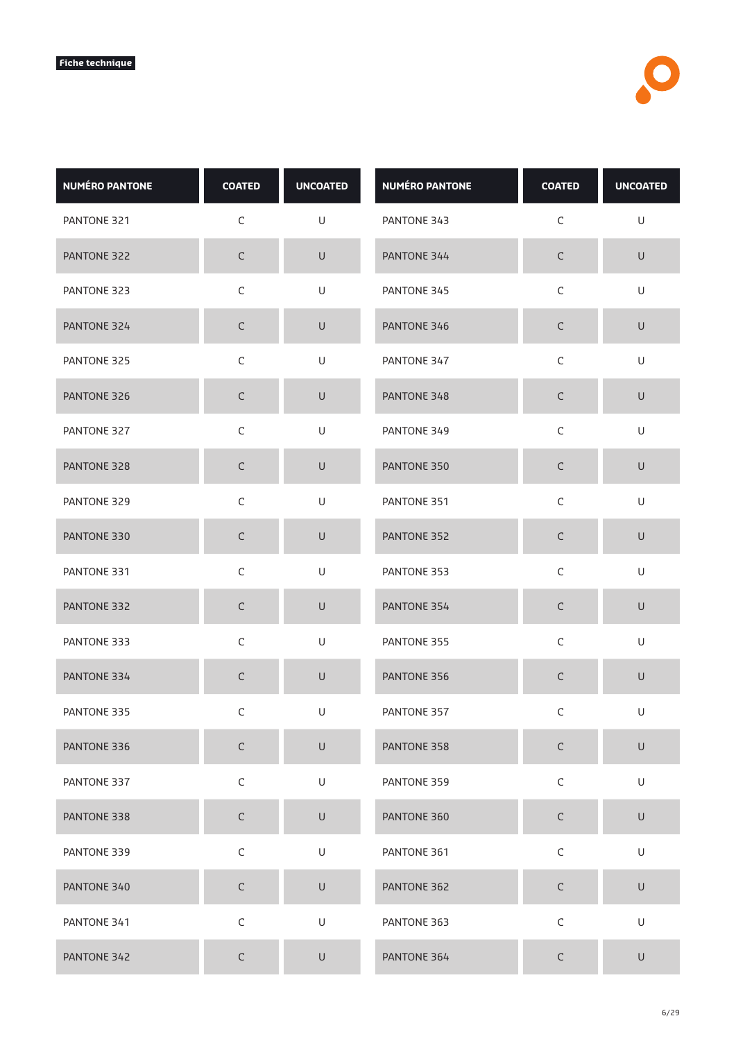| <b>NUMÉRO PANTONE</b> | <b>COATED</b> | <b>UNCOATED</b>                                                                                            | <b>NUMÉRO PANTONE</b> | <b>COATED</b> | <b>UNCOATED</b> |
|-----------------------|---------------|------------------------------------------------------------------------------------------------------------|-----------------------|---------------|-----------------|
| PANTONE 321           | $\mathsf C$   | U                                                                                                          | PANTONE 343           | $\mathsf C$   | U               |
| PANTONE 322           | $\mathsf C$   | $\sf U$                                                                                                    | PANTONE 344           | $\mathsf C$   | $\sf U$         |
| PANTONE 323           | $\mathsf C$   | U                                                                                                          | PANTONE 345           | $\mathsf C$   | U               |
| PANTONE 324           | $\mathsf C$   | U                                                                                                          | PANTONE 346           | C             | $\cup$          |
| PANTONE 325           | $\mathsf C$   | U                                                                                                          | PANTONE 347           | $\mathsf C$   | $\sf U$         |
| PANTONE 326           | $\mathsf C$   | $\cup$                                                                                                     | PANTONE 348           | $\mathsf C$   | U               |
| PANTONE 327           | $\mathsf C$   | U                                                                                                          | PANTONE 349           | $\mathsf C$   | U               |
| PANTONE 328           | $\mathsf C$   | $\cup$                                                                                                     | PANTONE 350           | $\mathsf C$   | $\sf U$         |
| PANTONE 329           | $\mathsf C$   | U                                                                                                          | PANTONE 351           | $\mathsf C$   | $\mathsf U$     |
| PANTONE 330           | $\mathsf C$   | $\cup$                                                                                                     | PANTONE 352           | $\mathsf C$   | $\sf U$         |
| PANTONE 331           | $\mathsf C$   | U                                                                                                          | PANTONE 353           | $\mathsf C$   | U               |
| PANTONE 332           | $\mathsf C$   | $\cup$                                                                                                     | PANTONE 354           | C             | $\sf U$         |
| PANTONE 333           | $\mathsf C$   | U                                                                                                          | PANTONE 355           | $\mathsf C$   | U               |
| PANTONE 334           | $\mathsf C$   | $\cup$                                                                                                     | PANTONE 356           | C             | U               |
| PANTONE 335           | С             | U                                                                                                          | PANTONE 357           | $\mathsf C$   | U               |
| PANTONE 336           | $\mathsf C$   | $\cup$                                                                                                     | PANTONE 358           | $\mathsf C$   | $\sf U$         |
| PANTONE 337           | $\mathsf C$   | U                                                                                                          | PANTONE 359           | $\mathsf C$   | U               |
| PANTONE 338           | $\mathsf C$   | $\cup$                                                                                                     | PANTONE 360           | $\mathsf C$   | $\mathsf U$     |
| PANTONE 339           | $\mathsf C$   | $\mathsf{U}% _{T}=\mathsf{U}_{T}\!\left( a,b\right) ,\ \mathsf{U}_{T}=\mathsf{U}_{T}\!\left( a,b\right) ,$ | PANTONE 361           | $\mathsf C$   | U               |
| PANTONE 340           | $\mathsf C$   | $\mathsf U$                                                                                                | PANTONE 362           | $\mathsf C$   | $\sf U$         |
| PANTONE 341           | $\mathsf C$   | $\mathsf{U}% _{T}=\mathsf{U}_{T}\!\left( a,b\right) ,\ \mathsf{U}_{T}=\mathsf{U}_{T}\!\left( a,b\right) ,$ | PANTONE 363           | $\mathsf C$   | U               |
| PANTONE 342           | $\mathsf C$   | $\sf U$                                                                                                    | PANTONE 364           | C             | U               |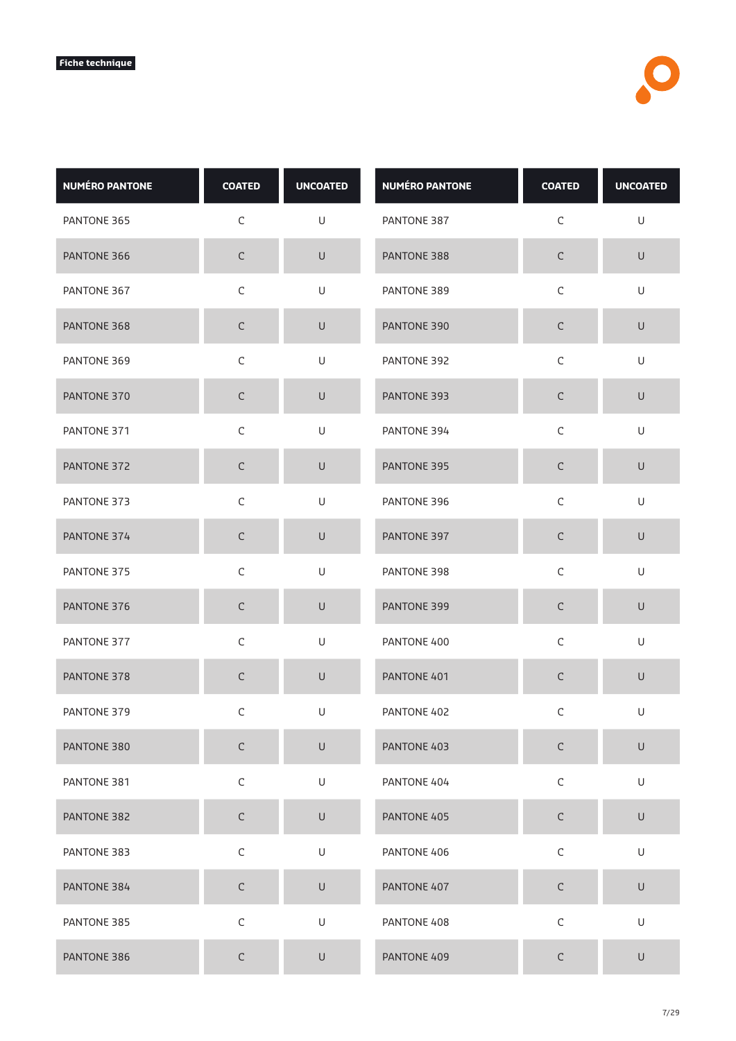| <b>NUMÉRO PANTONE</b> | <b>COATED</b> | <b>UNCOATED</b>                                                                                            | <b>NUMÉRO PANTONE</b> | <b>COATED</b> | <b>UNCOATED</b> |
|-----------------------|---------------|------------------------------------------------------------------------------------------------------------|-----------------------|---------------|-----------------|
| PANTONE 365           | $\mathsf C$   | U                                                                                                          | PANTONE 387           | $\mathsf C$   | U               |
| PANTONE 366           | $\mathsf C$   | $\sf U$                                                                                                    | PANTONE 388           | $\mathsf C$   | $\sf U$         |
| PANTONE 367           | $\mathsf C$   | U                                                                                                          | PANTONE 389           | $\mathsf C$   | U               |
| PANTONE 368           | $\mathsf C$   | U                                                                                                          | PANTONE 390           | C             | $\cup$          |
| PANTONE 369           | $\mathsf C$   | U                                                                                                          | PANTONE 392           | $\mathsf C$   | $\sf U$         |
| PANTONE 370           | $\mathsf C$   | $\cup$                                                                                                     | PANTONE 393           | $\mathsf C$   | U               |
| PANTONE 371           | $\mathsf C$   | U                                                                                                          | PANTONE 394           | $\mathsf C$   | U               |
| PANTONE 372           | $\mathsf C$   | $\cup$                                                                                                     | PANTONE 395           | $\mathsf C$   | $\sf U$         |
| PANTONE 373           | $\mathsf C$   | U                                                                                                          | PANTONE 396           | $\mathsf C$   | $\mathsf U$     |
| PANTONE 374           | $\mathsf C$   | $\cup$                                                                                                     | PANTONE 397           | $\mathsf C$   | $\sf U$         |
| PANTONE 375           | $\mathsf C$   | U                                                                                                          | PANTONE 398           | $\mathsf C$   | U               |
| PANTONE 376           | $\mathsf C$   | $\cup$                                                                                                     | PANTONE 399           | C             | $\sf U$         |
| PANTONE 377           | $\mathsf C$   | U                                                                                                          | PANTONE 400           | $\mathsf C$   | U               |
| PANTONE 378           | $\mathsf C$   | $\cup$                                                                                                     | PANTONE 401           | C             | U               |
| PANTONE 379           | С             | U                                                                                                          | PANTONE 402           | $\mathsf C$   | U               |
| PANTONE 380           | $\mathsf C$   | $\cup$                                                                                                     | PANTONE 403           | $\mathsf C$   | $\sf U$         |
| PANTONE 381           | $\mathsf C$   | U                                                                                                          | PANTONE 404           | $\mathsf C$   | U               |
| PANTONE 382           | $\mathsf C$   | $\cup$                                                                                                     | PANTONE 405           | $\mathsf C$   | $\mathsf U$     |
| PANTONE 383           | $\mathsf C$   | $\mathsf{U}% _{T}=\mathsf{U}_{T}\!\left( a,b\right) ,\ \mathsf{U}_{T}=\mathsf{U}_{T}\!\left( a,b\right) ,$ | PANTONE 406           | $\mathsf C$   | U               |
| PANTONE 384           | $\mathsf C$   | $\mathsf U$                                                                                                | PANTONE 407           | $\mathsf C$   | $\sf U$         |
| PANTONE 385           | $\mathsf C$   | $\mathsf{U}% _{T}=\mathsf{U}_{T}\!\left( a,b\right) ,\ \mathsf{U}_{T}=\mathsf{U}_{T}\!\left( a,b\right) ,$ | PANTONE 408           | $\mathsf C$   | $\mathsf U$     |
| PANTONE 386           | $\mathsf C$   | $\sf U$                                                                                                    | PANTONE 409           | C             | $\cup$          |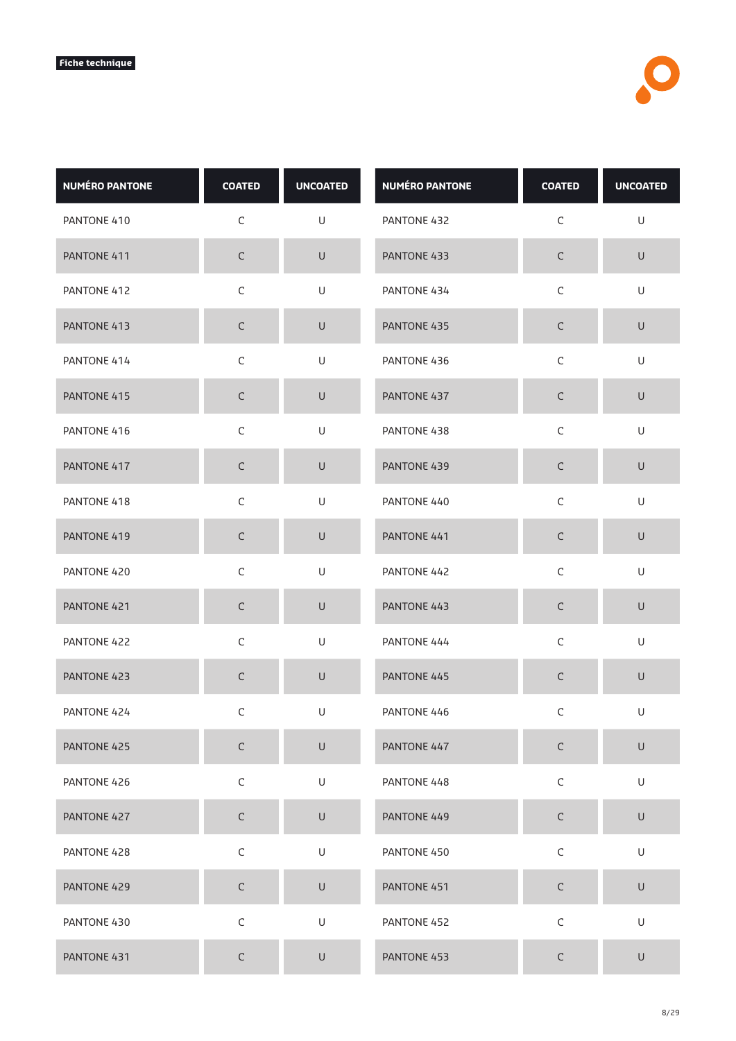| <b>NUMÉRO PANTONE</b> | <b>COATED</b> | <b>UNCOATED</b>                                                                                            | <b>NUMÉRO PANTONE</b> | <b>COATED</b> | <b>UNCOATED</b> |
|-----------------------|---------------|------------------------------------------------------------------------------------------------------------|-----------------------|---------------|-----------------|
| PANTONE 410           | $\mathsf C$   | U                                                                                                          | PANTONE 432           | $\mathsf C$   | $\mathsf U$     |
| PANTONE 411           | $\mathsf C$   | $\sf U$                                                                                                    | PANTONE 433           | $\mathsf C$   | $\sf U$         |
| PANTONE 412           | $\mathsf C$   | U                                                                                                          | PANTONE 434           | $\mathsf C$   | U               |
| PANTONE 413           | $\mathsf C$   | U                                                                                                          | PANTONE 435           | C             | $\cup$          |
| PANTONE 414           | $\mathsf C$   | U                                                                                                          | PANTONE 436           | $\mathsf C$   | $\sf U$         |
| PANTONE 415           | $\mathsf C$   | $\cup$                                                                                                     | PANTONE 437           | $\mathsf C$   | U               |
| PANTONE 416           | $\mathsf C$   | U                                                                                                          | PANTONE 438           | $\mathsf C$   | U               |
| PANTONE 417           | $\mathsf C$   | $\cup$                                                                                                     | PANTONE 439           | $\mathsf C$   | $\sf U$         |
| PANTONE 418           | $\mathsf C$   | U                                                                                                          | PANTONE 440           | $\mathsf C$   | $\mathsf U$     |
| PANTONE 419           | $\mathsf C$   | $\cup$                                                                                                     | PANTONE 441           | $\mathsf C$   | $\sf U$         |
| PANTONE 420           | $\mathsf C$   | U                                                                                                          | PANTONE 442           | $\mathsf C$   | U               |
| PANTONE 421           | $\mathsf C$   | $\cup$                                                                                                     | PANTONE 443           | C             | $\sf U$         |
| PANTONE 422           | $\mathsf C$   | U                                                                                                          | PANTONE 444           | $\mathsf C$   | U               |
| PANTONE 423           | $\mathsf C$   | $\cup$                                                                                                     | PANTONE 445           | $\mathsf C$   | $\sf U$         |
| PANTONE 424           | $\mathsf C$   | U                                                                                                          | PANTONE 446           | $\mathsf C$   | U               |
| PANTONE 425           | $\mathsf C$   | $\cup$                                                                                                     | PANTONE 447           | $\mathsf C$   | $\sf U$         |
| PANTONE 426           | $\mathsf C$   | U                                                                                                          | PANTONE 448           | $\mathsf C$   | U               |
| PANTONE 427           | $\mathsf C$   | $\cup$                                                                                                     | PANTONE 449           | $\mathsf C$   | $\mathsf U$     |
| PANTONE 428           | $\mathsf C$   | $\mathsf{U}% _{T}=\mathsf{U}_{T}\!\left( a,b\right) ,\ \mathsf{U}_{T}=\mathsf{U}_{T}\!\left( a,b\right) ,$ | PANTONE 450           | $\mathsf C$   | U               |
| PANTONE 429           | $\mathsf C$   | $\mathsf U$                                                                                                | PANTONE 451           | $\mathsf C$   | $\sf U$         |
| PANTONE 430           | $\mathsf C$   | $\mathsf{U}% _{T}=\mathsf{U}_{T}\!\left( a,b\right) ,\ \mathsf{U}_{T}=\mathsf{U}_{T}\!\left( a,b\right) ,$ | PANTONE 452           | $\mathsf C$   | $\mathsf U$     |
| PANTONE 431           | $\mathsf C$   | U                                                                                                          | PANTONE 453           | $\mathsf C$   | $\cup$          |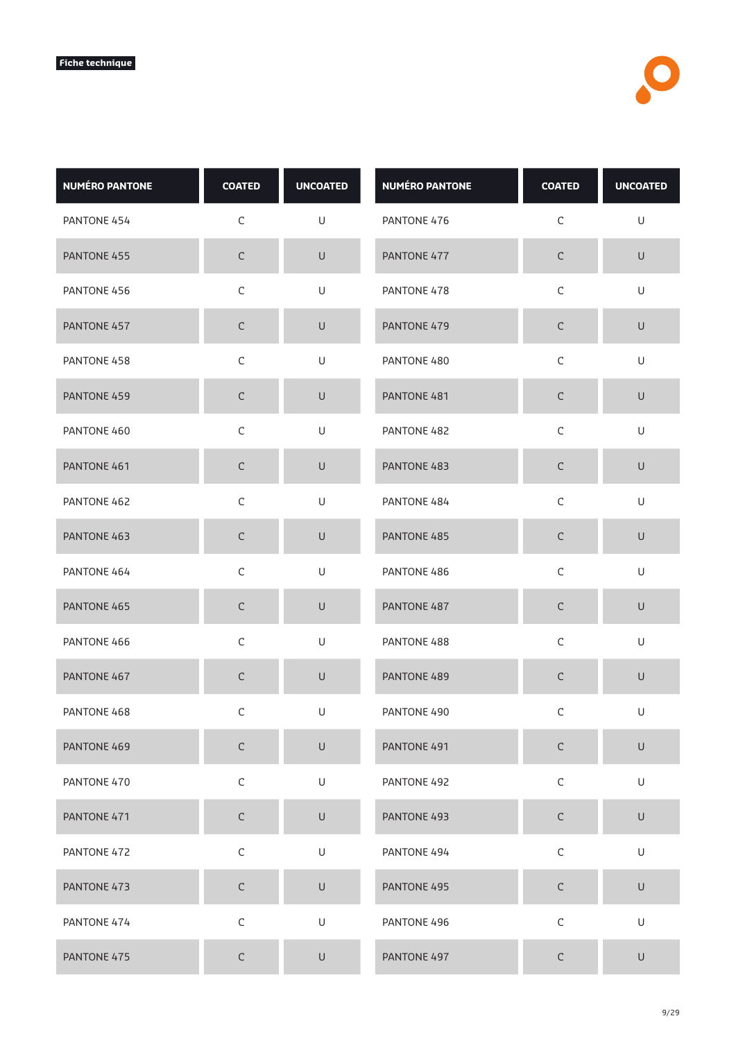| <b>NUMÉRO PANTONE</b> | <b>COATED</b> | <b>UNCOATED</b> | <b>NUMÉRO PANTONE</b> | <b>COATED</b> | <b>UNCOATED</b> |
|-----------------------|---------------|-----------------|-----------------------|---------------|-----------------|
| PANTONE 454           | $\mathsf C$   | U               | PANTONE 476           | $\mathsf C$   | $\cup$          |
| PANTONE 455           | $\mathsf C$   | $\sf U$         | PANTONE 477           | $\mathsf C$   | $\mathsf U$     |
| PANTONE 456           | $\mathsf C$   | U               | PANTONE 478           | $\mathsf C$   | U               |
| PANTONE 457           | $\mathsf C$   | $\cup$          | PANTONE 479           | С             | $\cup$          |
| PANTONE 458           | $\mathsf C$   | $\mathsf U$     | PANTONE 480           | $\mathsf C$   | $\sf U$         |
| PANTONE 459           | $\mathsf C$   | $\sf U$         | PANTONE 481           | $\mathsf C$   | $\sf U$         |
| PANTONE 460           | $\mathsf C$   | U               | PANTONE 482           | $\mathsf C$   | U               |
| PANTONE 461           | $\mathsf C$   | $\sf U$         | PANTONE 483           | $\mathsf C$   | $\sf U$         |
| PANTONE 462           | $\mathsf C$   | $\sf U$         | PANTONE 484           | $\mathsf C$   | $\cup$          |
| PANTONE 463           | $\mathsf C$   | $\sf U$         | PANTONE 485           | $\mathsf C$   | $\sf U$         |
| PANTONE 464           | $\mathsf C$   | U               | PANTONE 486           | $\mathsf C$   | U               |
| PANTONE 465           | C             | $\cup$          | PANTONE 487           | $\mathsf C$   | $\sf U$         |
| PANTONE 466           | $\mathsf C$   | U               | PANTONE 488           | $\mathsf C$   | U               |
| PANTONE 467           | $\mathsf C$   | $\mathsf U$     | PANTONE 489           | $\mathsf C$   | $\mathsf U$     |
| PANTONE 468           | $\mathsf C$   | U               | PANTONE 490           | C             | U               |
| PANTONE 469           | $\mathsf C$   | $\sf U$         | PANTONE 491           | $\mathsf C$   | $\sf U$         |
| PANTONE 470           | $\mathsf C$   | $\mathsf U$     | PANTONE 492           | $\mathsf C$   | U               |
| PANTONE 471           | $\mathsf C$   | $\mathsf U$     | PANTONE 493           | $\mathsf C$   | $\mathsf U$     |
| PANTONE 472           | $\mathsf C$   | $\mathsf U$     | PANTONE 494           | $\mathsf C$   | U               |
| PANTONE 473           | $\mathsf C$   | $\sf U$         | PANTONE 495           | $\mathsf C$   | $\sf U$         |
| PANTONE 474           | $\mathsf C$   | $\mathsf U$     | PANTONE 496           | $\mathsf C$   | U               |
| PANTONE 475           | $\mathsf C$   | U               | PANTONE 497           | C             | $\sf U$         |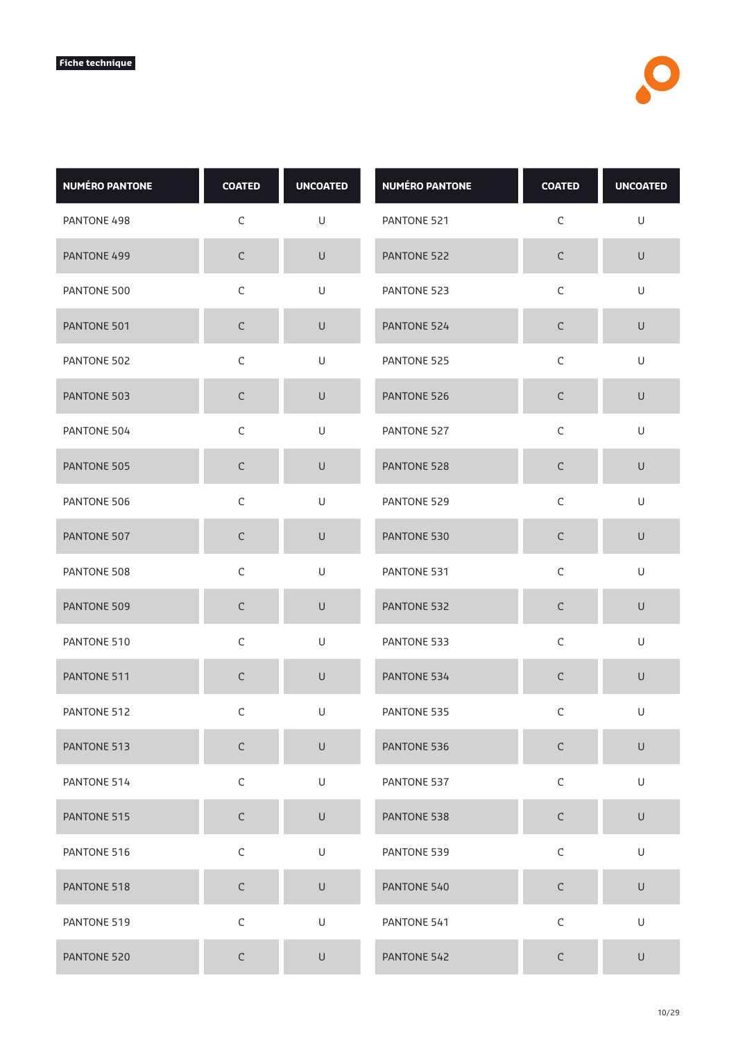| <b>NUMÉRO PANTONE</b> | <b>COATED</b> | <b>UNCOATED</b> | <b>NUMÉRO PANTONE</b> | <b>COATED</b> | <b>UNCOATED</b> |
|-----------------------|---------------|-----------------|-----------------------|---------------|-----------------|
| PANTONE 498           | $\mathsf C$   | U               | PANTONE 521           | $\mathsf C$   | U               |
| PANTONE 499           | $\mathsf C$   | $\sf U$         | PANTONE 522           | $\mathsf C$   | $\mathsf U$     |
| PANTONE 500           | $\mathsf C$   | U               | PANTONE 523           | $\mathsf C$   | U               |
| PANTONE 501           | $\mathsf C$   | $\cup$          | PANTONE 524           | С             | $\cup$          |
| PANTONE 502           | $\mathsf C$   | $\mathsf U$     | PANTONE 525           | $\mathsf C$   | U               |
| PANTONE 503           | $\mathsf C$   | $\sf U$         | PANTONE 526           | $\mathsf C$   | $\sf U$         |
| PANTONE 504           | $\mathsf C$   | U               | PANTONE 527           | $\mathsf C$   | U               |
| PANTONE 505           | $\mathsf C$   | $\sf U$         | PANTONE 528           | $\mathsf C$   | $\sf U$         |
| PANTONE 506           | $\mathsf C$   | $\mathsf U$     | PANTONE 529           | $\mathsf C$   | $\cup$          |
| PANTONE 507           | $\mathsf C$   | $\sf U$         | PANTONE 530           | $\mathsf C$   | $\sf U$         |
| PANTONE 508           | $\mathsf C$   | U               | PANTONE 531           | $\mathsf C$   | U               |
| PANTONE 509           | C             | $\cup$          | PANTONE 532           | $\mathsf C$   | $\sf U$         |
| PANTONE 510           | $\mathsf C$   | U               | PANTONE 533           | $\mathsf C$   | U               |
| PANTONE 511           | $\mathsf C$   | $\mathsf U$     | PANTONE 534           | $\mathsf C$   | $\sf U$         |
| PANTONE 512           | С             | U               | PANTONE 535           | C             | U               |
| PANTONE 513           | $\mathsf C$   | $\sf U$         | PANTONE 536           | $\mathsf C$   | $\sf U$         |
| PANTONE 514           | $\mathsf C$   | U               | PANTONE 537           | $\mathsf C$   | U               |
| PANTONE 515           | $\mathsf C$   | $\mathsf U$     | PANTONE 538           | $\mathsf C$   | $\mathsf U$     |
| PANTONE 516           | $\mathsf C$   | $\mathsf U$     | PANTONE 539           | $\mathsf C$   | U               |
| PANTONE 518           | $\mathsf C$   | $\sf U$         | PANTONE 540           | $\mathsf C$   | $\sf U$         |
| PANTONE 519           | $\mathsf C$   | U               | PANTONE 541           | $\mathsf C$   | U               |
| PANTONE 520           | $\mathsf C$   | $\sf U$         | PANTONE 542           | C             | $\sf U$         |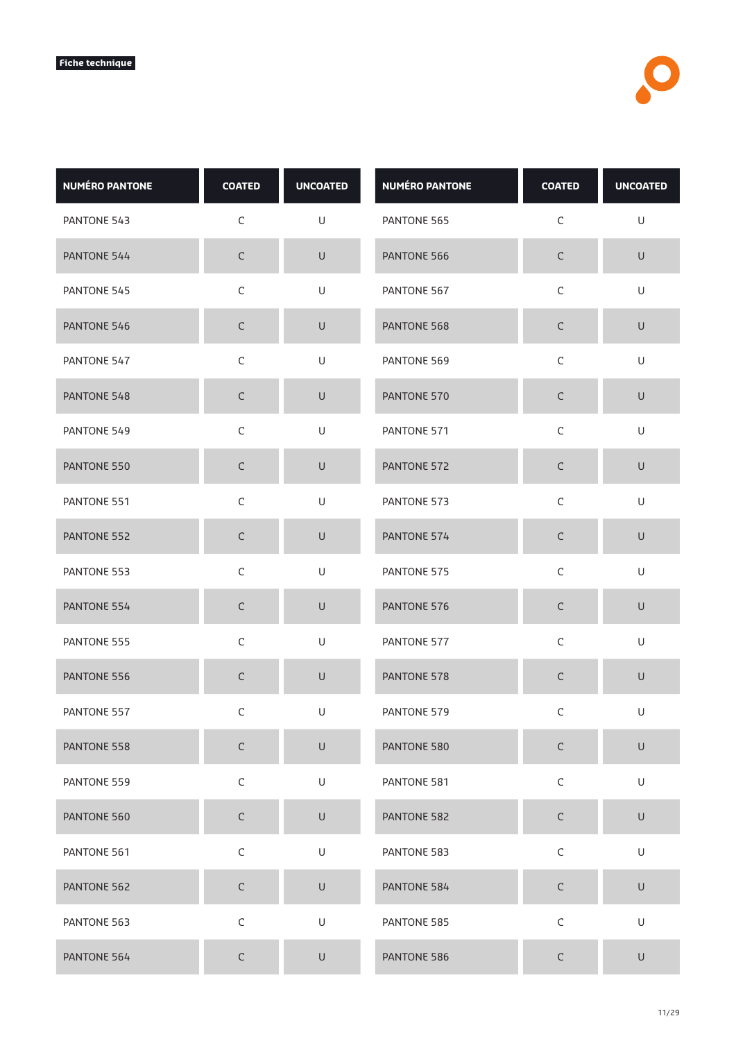| <b>NUMÉRO PANTONE</b> | <b>COATED</b> | <b>UNCOATED</b>                                                                                            | <b>NUMÉRO PANTONE</b> | <b>COATED</b> | <b>UNCOATED</b> |
|-----------------------|---------------|------------------------------------------------------------------------------------------------------------|-----------------------|---------------|-----------------|
| PANTONE 543           | $\mathsf C$   | U                                                                                                          | PANTONE 565           | $\mathsf C$   | U               |
| PANTONE 544           | $\mathsf C$   | $\sf U$                                                                                                    | PANTONE 566           | $\mathsf C$   | $\sf U$         |
| PANTONE 545           | $\mathsf C$   | U                                                                                                          | PANTONE 567           | $\mathsf C$   | U               |
| PANTONE 546           | $\mathsf C$   | U                                                                                                          | PANTONE 568           | C             | $\cup$          |
| PANTONE 547           | $\mathsf C$   | U                                                                                                          | PANTONE 569           | $\mathsf C$   | $\sf U$         |
| PANTONE 548           | $\mathsf C$   | $\cup$                                                                                                     | PANTONE 570           | $\mathsf C$   | $\cup$          |
| PANTONE 549           | $\mathsf C$   | U                                                                                                          | PANTONE 571           | $\mathsf C$   | U               |
| PANTONE 550           | $\mathsf C$   | $\cup$                                                                                                     | PANTONE 572           | $\mathsf C$   | $\sf U$         |
| PANTONE 551           | $\mathsf C$   | U                                                                                                          | PANTONE 573           | $\mathsf C$   | $\mathsf U$     |
| PANTONE 552           | $\mathsf C$   | $\cup$                                                                                                     | PANTONE 574           | $\mathsf C$   | $\sf U$         |
| PANTONE 553           | $\mathsf C$   | U                                                                                                          | PANTONE 575           | $\mathsf C$   | U               |
| PANTONE 554           | $\mathsf C$   | $\cup$                                                                                                     | PANTONE 576           | C             | $\sf U$         |
| PANTONE 555           | $\mathsf C$   | U                                                                                                          | PANTONE 577           | $\mathsf C$   | U               |
| PANTONE 556           | $\mathsf C$   | $\cup$                                                                                                     | PANTONE 578           | C             | U               |
| PANTONE 557           | С             | U                                                                                                          | PANTONE 579           | $\mathsf C$   | U               |
| PANTONE 558           | $\mathsf C$   | $\cup$                                                                                                     | PANTONE 580           | $\mathsf C$   | $\sf U$         |
| PANTONE 559           | $\mathsf C$   | U                                                                                                          | PANTONE 581           | $\mathsf C$   | U               |
| PANTONE 560           | $\mathsf C$   | $\cup$                                                                                                     | PANTONE 582           | $\mathsf C$   | $\mathsf U$     |
| PANTONE 561           | $\mathsf C$   | $\mathsf{U}% _{T}=\mathsf{U}_{T}\!\left( a,b\right) ,\ \mathsf{U}_{T}=\mathsf{U}_{T}\!\left( a,b\right) ,$ | PANTONE 583           | $\mathsf C$   | U               |
| PANTONE 562           | $\mathsf C$   | $\mathsf U$                                                                                                | PANTONE 584           | $\mathsf C$   | $\sf U$         |
| PANTONE 563           | $\mathsf C$   | $\mathsf{U}% _{T}=\mathsf{U}_{T}\!\left( a,b\right) ,\ \mathsf{U}_{T}=\mathsf{U}_{T}\!\left( a,b\right) ,$ | PANTONE 585           | $\mathsf C$   | U               |
| PANTONE 564           | $\mathsf C$   | $\sf U$                                                                                                    | PANTONE 586           | C             | $\cup$          |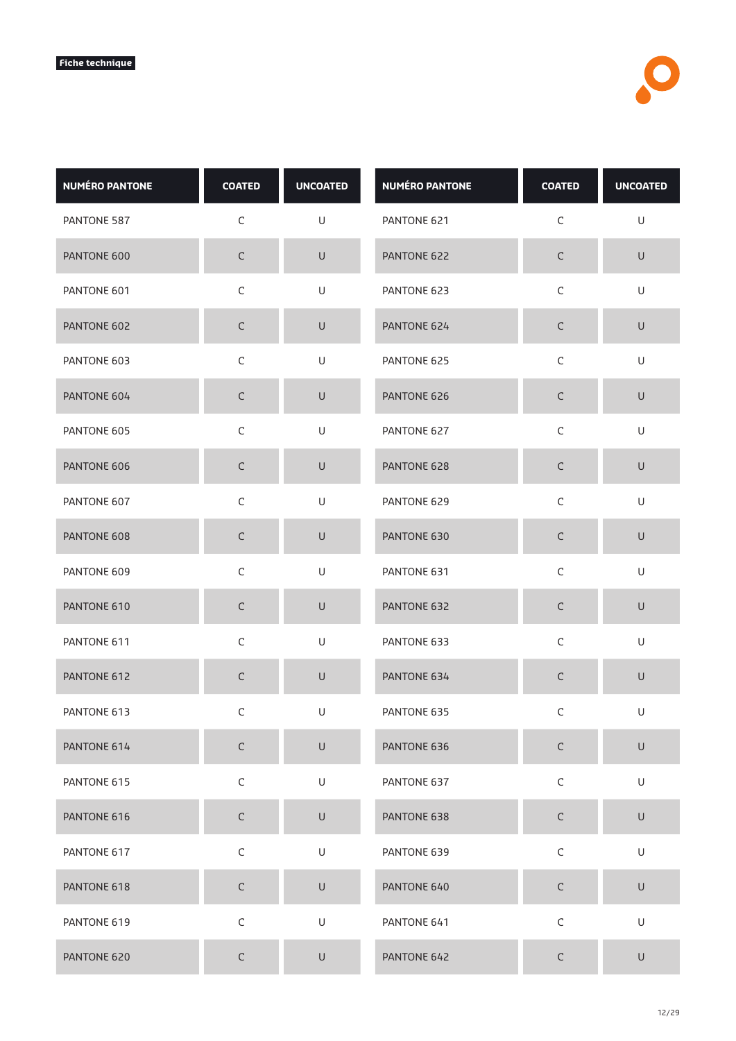| <b>NUMÉRO PANTONE</b> | <b>COATED</b> | <b>UNCOATED</b>                                                                                            | <b>NUMÉRO PANTONE</b> | <b>COATED</b> | <b>UNCOATED</b> |
|-----------------------|---------------|------------------------------------------------------------------------------------------------------------|-----------------------|---------------|-----------------|
| PANTONE 587           | $\mathsf C$   | U                                                                                                          | PANTONE 621           | $\mathsf C$   | $\mathsf U$     |
| PANTONE 600           | $\mathsf C$   | $\sf U$                                                                                                    | PANTONE 622           | $\mathsf C$   | $\sf U$         |
| PANTONE 601           | $\mathsf C$   | U                                                                                                          | PANTONE 623           | $\mathsf C$   | U               |
| PANTONE 602           | $\mathsf C$   | $\cup$                                                                                                     | PANTONE 624           | C             | $\cup$          |
| PANTONE 603           | $\mathsf C$   | $\mathsf{U}% _{T}=\mathsf{U}_{T}\!\left( a,b\right) ,\ \mathsf{U}_{T}=\mathsf{U}_{T}\!\left( a,b\right) ,$ | PANTONE 625           | $\mathsf C$   | $\mathsf U$     |
| PANTONE 604           | $\mathsf C$   | $\cup$                                                                                                     | PANTONE 626           | $\mathsf C$   | U               |
| PANTONE 605           | $\mathsf C$   | U                                                                                                          | PANTONE 627           | $\mathsf C$   | U               |
| PANTONE 606           | $\mathsf C$   | $\cup$                                                                                                     | PANTONE 628           | $\mathsf C$   | $\sf U$         |
| PANTONE 607           | $\mathsf C$   | U                                                                                                          | PANTONE 629           | $\mathsf C$   | $\mathsf U$     |
| PANTONE 608           | $\mathsf C$   | $\cup$                                                                                                     | PANTONE 630           | $\mathsf C$   | $\sf U$         |
| PANTONE 609           | $\mathsf C$   | U                                                                                                          | PANTONE 631           | $\mathsf C$   | U               |
| PANTONE 610           | $\mathsf C$   | $\cup$                                                                                                     | PANTONE 632           | C             | $\sf U$         |
| PANTONE 611           | $\mathsf C$   | U                                                                                                          | PANTONE 633           | $\mathsf C$   | U               |
| PANTONE 612           | $\mathsf C$   | $\sf U$                                                                                                    | PANTONE 634           | $\mathsf C$   | U               |
| PANTONE 613           | С             | U                                                                                                          | PANTONE 635           | $\mathsf C$   | U               |
| PANTONE 614           | $\mathsf C$   | $\cup$                                                                                                     | PANTONE 636           | $\mathsf C$   | $\sf U$         |
| PANTONE 615           | $\mathsf C$   | U                                                                                                          | PANTONE 637           | $\mathsf C$   | U               |
| PANTONE 616           | $\mathsf C$   | $\mathsf U$                                                                                                | PANTONE 638           | $\mathsf C$   | $\mathsf U$     |
| PANTONE 617           | $\mathsf C$   | $\mathsf{U}% _{T}=\mathsf{U}_{T}\!\left( a,b\right) ,\ \mathsf{U}_{T}=\mathsf{U}_{T}\!\left( a,b\right) ,$ | PANTONE 639           | $\mathsf C$   | U               |
| PANTONE 618           | $\mathsf C$   | $\mathsf U$                                                                                                | PANTONE 640           | $\mathsf C$   | $\sf U$         |
| PANTONE 619           | $\mathsf C$   | $\mathsf{U}% _{T}=\mathsf{U}_{T}\!\left( a,b\right) ,\ \mathsf{U}_{T}=\mathsf{U}_{T}\!\left( a,b\right) ,$ | PANTONE 641           | $\mathsf C$   | U               |
| PANTONE 620           | $\mathsf C$   | U                                                                                                          | PANTONE 642           | C             | U               |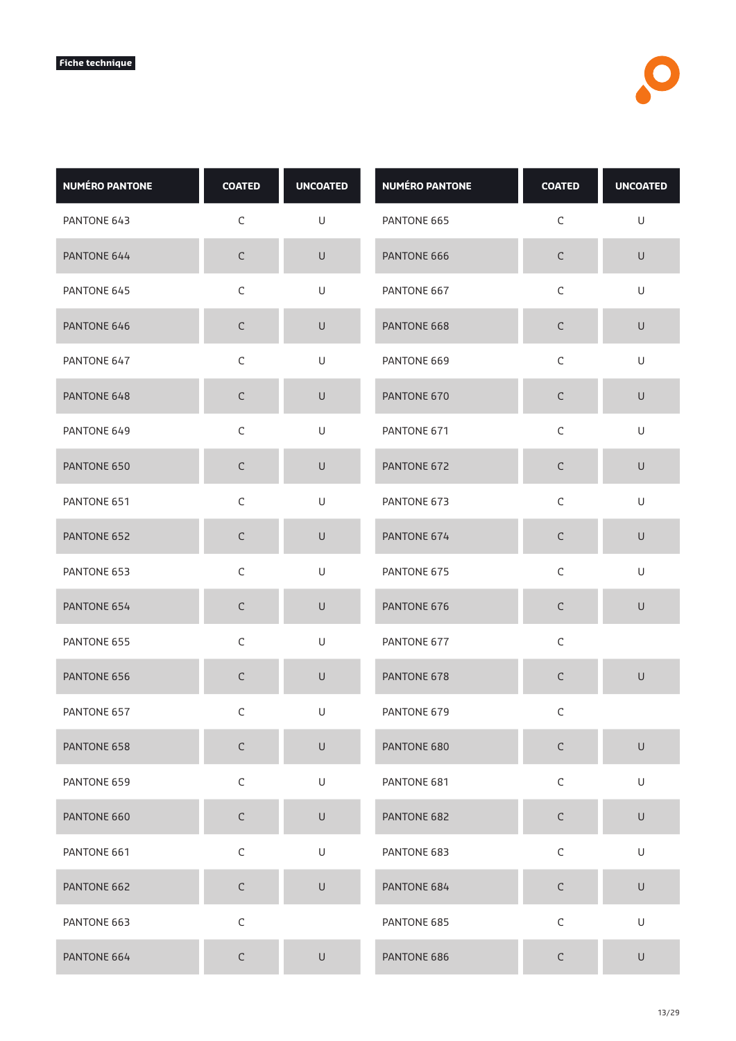| <b>NUMÉRO PANTONE</b> | <b>COATED</b> | <b>UNCOATED</b>                                                                                            | <b>NUMÉRO PANTONE</b> | <b>COATED</b> | <b>UNCOATED</b>                                                                                            |
|-----------------------|---------------|------------------------------------------------------------------------------------------------------------|-----------------------|---------------|------------------------------------------------------------------------------------------------------------|
| PANTONE 643           | $\mathsf C$   | U                                                                                                          | PANTONE 665           | $\mathsf C$   | $\mathsf{U}% _{T}=\mathsf{U}_{T}\!\left( a,b\right) ,\ \mathsf{U}_{T}=\mathsf{U}_{T}\!\left( a,b\right) ,$ |
| PANTONE 644           | $\mathsf C$   | $\sf U$                                                                                                    | PANTONE 666           | $\mathsf C$   | $\mathsf U$                                                                                                |
| PANTONE 645           | $\mathsf C$   | U                                                                                                          | PANTONE 667           | $\mathsf C$   | U                                                                                                          |
| PANTONE 646           | $\mathsf C$   | $\cup$                                                                                                     | PANTONE 668           | $\mathsf C$   | $\cup$                                                                                                     |
| PANTONE 647           | $\mathsf C$   | U                                                                                                          | PANTONE 669           | $\mathsf C$   | $\mathsf{U}% _{T}=\mathsf{U}_{T}\!\left( a,b\right) ,\ \mathsf{U}_{T}=\mathsf{U}_{T}\!\left( a,b\right) ,$ |
| PANTONE 648           | $\mathsf C$   | U                                                                                                          | PANTONE 670           | $\mathsf C$   | $\mathsf U$                                                                                                |
| PANTONE 649           | $\mathsf C$   | U                                                                                                          | PANTONE 671           | $\mathsf C$   | U                                                                                                          |
| PANTONE 650           | $\mathsf C$   | $\cup$                                                                                                     | PANTONE 672           | $\mathsf C$   | $\cup$                                                                                                     |
| PANTONE 651           | $\mathsf C$   | U                                                                                                          | PANTONE 673           | $\mathsf C$   | $\mathsf U$                                                                                                |
| PANTONE 652           | $\mathsf C$   | U                                                                                                          | PANTONE 674           | $\mathsf C$   | $\cup$                                                                                                     |
| PANTONE 653           | $\mathsf C$   | U                                                                                                          | PANTONE 675           | $\mathsf C$   | U                                                                                                          |
| PANTONE 654           | $\mathsf C$   | $\cup$                                                                                                     | PANTONE 676           | $\mathsf C$   | $\sf U$                                                                                                    |
| PANTONE 655           | $\mathsf C$   | $\mathsf{U}% _{T}=\mathsf{U}_{T}\!\left( a,b\right) ,\ \mathsf{U}_{T}=\mathsf{U}_{T}\!\left( a,b\right) ,$ | PANTONE 677           | $\mathsf C$   |                                                                                                            |
| PANTONE 656           | $\mathsf C$   | $\sf U$                                                                                                    | PANTONE 678           | $\mathsf C$   | $\sf U$                                                                                                    |
| PANTONE 657           | С             | U                                                                                                          | PANTONE 679           | С             |                                                                                                            |
| PANTONE 658           | $\mathsf C$   | $\mathsf U$                                                                                                | PANTONE 680           | $\mathsf C$   | $\cup$                                                                                                     |
| PANTONE 659           | $\mathsf C$   | U                                                                                                          | PANTONE 681           | $\mathsf C$   | U                                                                                                          |
| PANTONE 660           | $\mathsf C$   | $\mathsf U$                                                                                                | PANTONE 682           | $\mathsf C$   | $\mathsf U$                                                                                                |
| PANTONE 661           | $\mathsf C$   | U                                                                                                          | PANTONE 683           | $\mathsf C$   | U                                                                                                          |
| PANTONE 662           | $\mathsf C$   | $\cup$                                                                                                     | PANTONE 684           | $\mathsf C$   | $\cup$                                                                                                     |
| PANTONE 663           | $\mathsf C$   |                                                                                                            | PANTONE 685           | $\mathsf C$   | $\sf U$                                                                                                    |
| PANTONE 664           | $\mathsf C$   | $\sf U$                                                                                                    | PANTONE 686           | $\mathsf C$   | $\cup$                                                                                                     |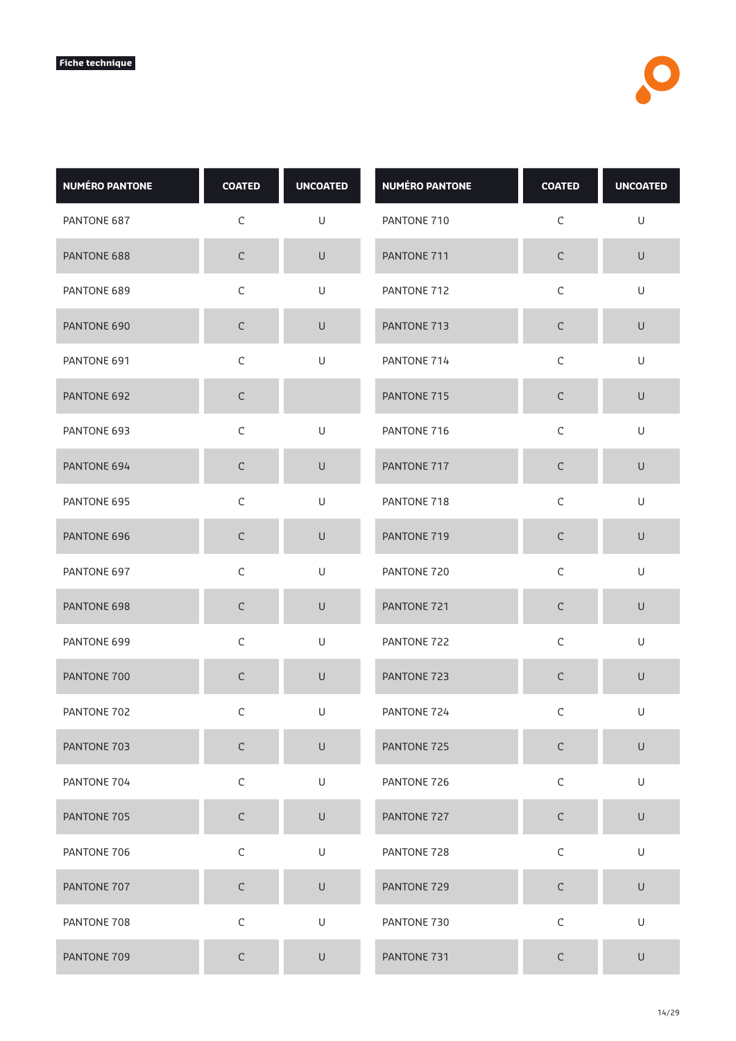| <b>NUMÉRO PANTONE</b> | <b>COATED</b> | <b>UNCOATED</b> | <b>NUMÉRO PANTONE</b> | <b>COATED</b> | <b>UNCOATED</b> |
|-----------------------|---------------|-----------------|-----------------------|---------------|-----------------|
| PANTONE 687           | $\mathsf C$   | U               | PANTONE 710           | $\mathsf C$   | U               |
| PANTONE 688           | $\mathsf C$   | $\sf U$         | PANTONE 711           | $\mathsf C$   | $\mathsf U$     |
| PANTONE 689           | $\mathsf C$   | U               | PANTONE 712           | $\mathsf C$   | U               |
| PANTONE 690           | $\mathsf C$   | $\sf U$         | PANTONE 713           | С             | $\sf U$         |
| PANTONE 691           | $\mathsf C$   | $\mathsf U$     | PANTONE 714           | $\mathsf C$   | $\mathsf U$     |
| PANTONE 692           | $\mathsf C$   |                 | PANTONE 715           | $\mathsf C$   | $\sf U$         |
| PANTONE 693           | C             | U               | PANTONE 716           | C             | U               |
| PANTONE 694           | $\mathsf C$   | $\sf U$         | PANTONE 717           | $\mathsf C$   | $\cup$          |
| PANTONE 695           | $\mathsf C$   | $\sf U$         | PANTONE 718           | $\mathsf C$   | $\mathsf U$     |
| PANTONE 696           | $\mathsf C$   | U               | PANTONE 719           | $\mathsf C$   | $\cup$          |
| PANTONE 697           | $\mathsf C$   | $\cup$          | PANTONE 720           | $\mathsf C$   | U               |
| PANTONE 698           | $\mathsf C$   | $\cup$          | PANTONE 721           | $\mathsf C$   | $\mathsf U$     |
| PANTONE 699           | $\mathsf C$   | $\mathsf U$     | PANTONE 722           | $\mathsf C$   | $\cup$          |
| PANTONE 700           | $\mathsf C$   | $\mathsf U$     | PANTONE 723           | $\mathsf C$   | $\mathsf U$     |
| PANTONE 702           | C             | U               | PANTONE 724           | C             | U               |
| PANTONE 703           | $\mathsf C$   | $\sf U$         | PANTONE 725           | $\mathsf C$   | $\sf U$         |
| PANTONE 704           | $\mathsf C$   | U               | PANTONE 726           | $\mathsf C$   | U               |
| PANTONE 705           | $\mathsf C$   | $\mathsf U$     | PANTONE 727           | $\mathsf C$   | $\mathsf U$     |
| PANTONE 706           | $\mathsf C$   | $\sf U$         | PANTONE 728           | $\mathsf C$   | U               |
| PANTONE 707           | $\mathsf C$   | $\mathsf U$     | PANTONE 729           | $\mathsf C$   | $\sf U$         |
| PANTONE 708           | $\mathsf C$   | $\mathsf U$     | PANTONE 730           | $\mathsf C$   | U               |
| PANTONE 709           | $\mathsf C$   | $\sf U$         | PANTONE 731           | С             | $\sf U$         |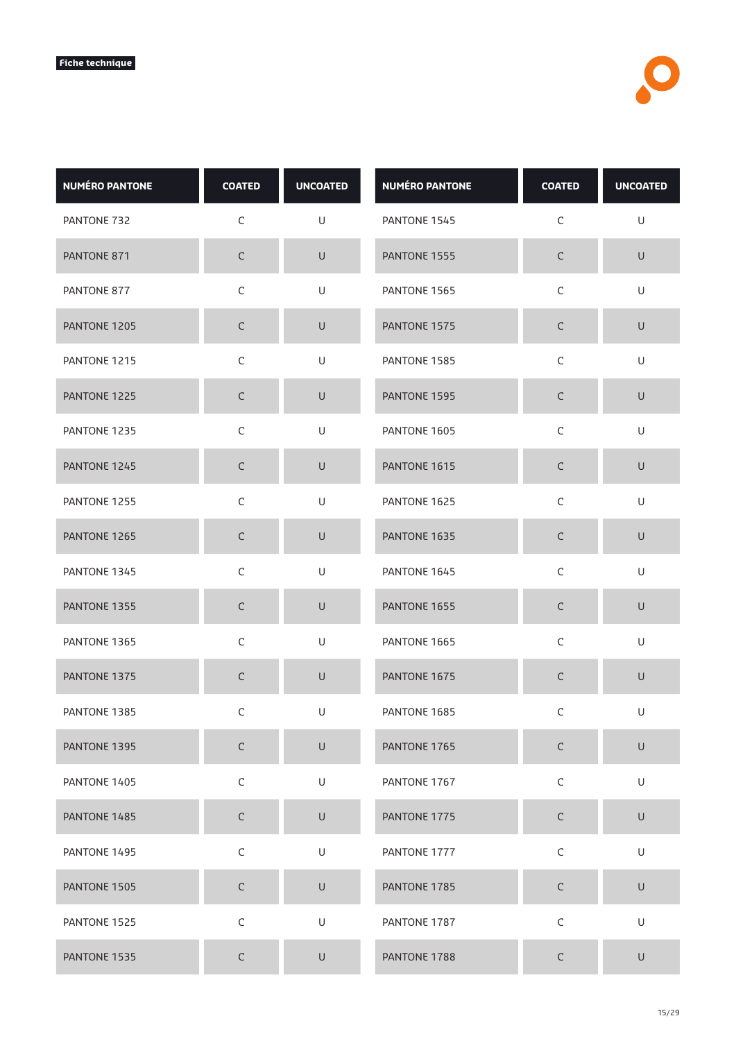| <b>NUMÉRO PANTONE</b> | <b>COATED</b> | <b>UNCOATED</b> | <b>NUMÉRO PANTONE</b> | <b>COATED</b> | <b>UNCOATED</b> |
|-----------------------|---------------|-----------------|-----------------------|---------------|-----------------|
| PANTONE 732           | $\mathsf C$   | U               | PANTONE 1545          | C             | U               |
| PANTONE 871           | $\mathsf C$   | $\sf U$         | PANTONE 1555          | $\mathsf C$   | $\sf U$         |
| PANTONE 877           | $\mathsf C$   | U               | PANTONE 1565          | $\mathsf C$   | U               |
| PANTONE 1205          | $\mathsf C$   | $\cup$          | PANTONE 1575          | С             | $\cup$          |
| PANTONE 1215          | $\mathsf C$   | U               | PANTONE 1585          | $\mathsf C$   | U               |
| PANTONE 1225          | $\mathsf C$   | $\cup$          | PANTONE 1595          | $\mathsf C$   | $\cup$          |
| PANTONE 1235          | C             | U               | PANTONE 1605          | C             | U               |
| PANTONE 1245          | $\mathsf C$   | $\sf U$         | PANTONE 1615          | $\mathsf C$   | $\sf U$         |
| PANTONE 1255          | $\mathsf C$   | $\sf U$         | PANTONE 1625          | $\mathsf C$   | $\cup$          |
| PANTONE 1265          | $\mathsf C$   | $\cup$          | PANTONE 1635          | $\mathsf C$   | $\sf U$         |
| PANTONE 1345          | $\mathsf C$   | U               | PANTONE 1645          | $\mathsf C$   | U               |
| PANTONE 1355          | C             | $\cup$          | PANTONE 1655          | $\mathsf C$   | U               |
| PANTONE 1365          | $\mathsf C$   | U               | PANTONE 1665          | $\mathsf C$   | U               |
| PANTONE 1375          | $\mathsf C$   | $\cup$          | PANTONE 1675          | $\mathsf C$   | U               |
| PANTONE 1385          | С             | U               | PANTONE 1685          | C             | U               |
| PANTONE 1395          | $\mathsf C$   | $\sf U$         | PANTONE 1765          | $\mathsf C$   | $\sf U$         |
| PANTONE 1405          | $\mathsf C$   | U               | PANTONE 1767          | $\mathsf C$   | U               |
| PANTONE 1485          | $\mathsf C$   | $\mathsf U$     | PANTONE 1775          | $\mathsf C$   | $\sf U$         |
| PANTONE 1495          | $\mathsf C$   | U               | PANTONE 1777          | $\mathsf C$   | U               |
| PANTONE 1505          | $\mathsf C$   | $\sf U$         | PANTONE 1785          | $\mathsf C$   | $\sf U$         |
| PANTONE 1525          | $\mathsf C$   | U               | PANTONE 1787          | $\mathsf C$   | U               |
| PANTONE 1535          | $\mathsf C$   | U               | PANTONE 1788          | С             | $\sf U$         |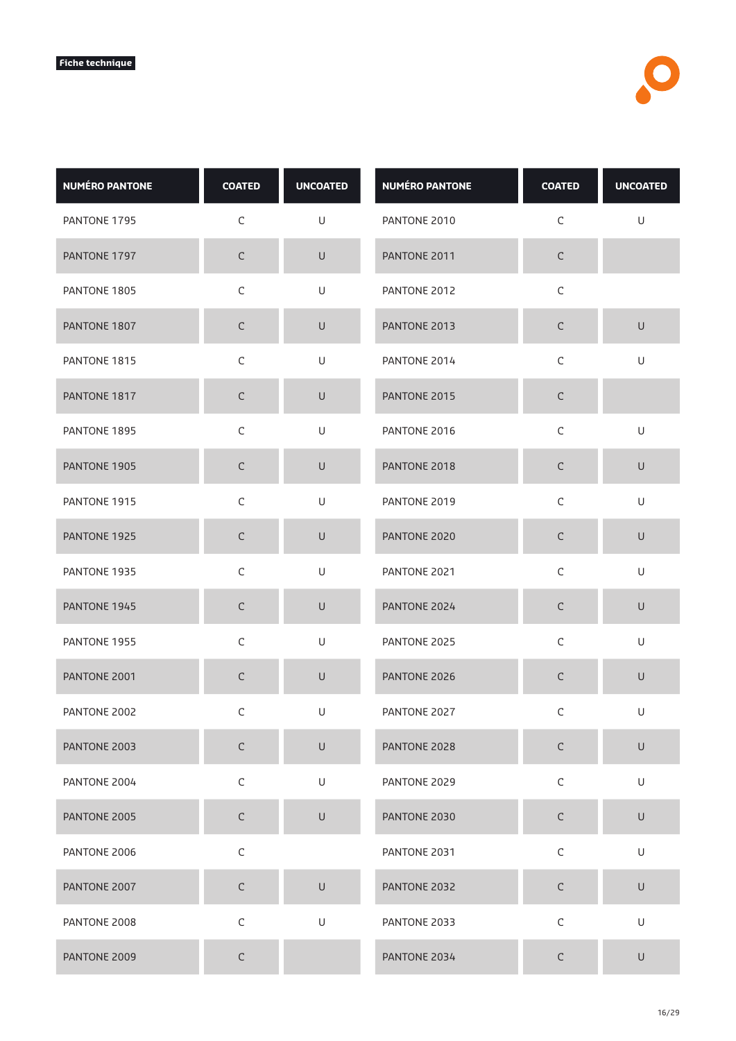| <b>NUMÉRO PANTONE</b> | <b>COATED</b> | <b>UNCOATED</b> | <b>NUMÉRO PANTONE</b> | <b>COATED</b> | <b>UNCOATED</b> |
|-----------------------|---------------|-----------------|-----------------------|---------------|-----------------|
| PANTONE 1795          | $\mathsf C$   | U               | PANTONE 2010          | C             | $\sf U$         |
| PANTONE 1797          | $\mathsf C$   | $\sf U$         | PANTONE 2011          | $\mathsf C$   |                 |
| PANTONE 1805          | $\mathsf C$   | U               | PANTONE 2012          | $\mathsf C$   |                 |
| PANTONE 1807          | $\mathsf C$   | $\cup$          | PANTONE 2013          | С             | $\cup$          |
| PANTONE 1815          | $\mathsf C$   | U               | PANTONE 2014          | $\mathsf C$   | U               |
| PANTONE 1817          | $\mathsf C$   | $\sf U$         | PANTONE 2015          | $\mathsf C$   |                 |
| PANTONE 1895          | $\mathsf C$   | U               | PANTONE 2016          | C             | U               |
| PANTONE 1905          | $\mathsf C$   | $\sf U$         | PANTONE 2018          | $\mathsf C$   | $\sf U$         |
| PANTONE 1915          | $\mathsf C$   | $\sf U$         | PANTONE 2019          | $\mathsf C$   | $\cup$          |
| PANTONE 1925          | $\mathsf C$   | $\sf U$         | PANTONE 2020          | $\mathsf C$   | $\sf U$         |
| PANTONE 1935          | $\mathsf C$   | U               | PANTONE 2021          | $\mathsf C$   | U               |
| PANTONE 1945          | C             | $\cup$          | PANTONE 2024          | $\mathsf C$   | $\sf U$         |
| PANTONE 1955          | $\mathsf C$   | U               | PANTONE 2025          | $\mathsf C$   | U               |
| PANTONE 2001          | $\mathsf C$   | $\sf U$         | PANTONE 2026          | $\mathsf C$   | U               |
| PANTONE 2002          | С             | U               | PANTONE 2027          | C             | U               |
| PANTONE 2003          | $\mathsf C$   | $\sf U$         | PANTONE 2028          | $\mathsf C$   | $\sf U$         |
| PANTONE 2004          | $\mathsf C$   | U               | PANTONE 2029          | $\mathsf C$   | U               |
| PANTONE 2005          | $\mathsf C$   | $\sf U$         | PANTONE 2030          | $\mathsf C$   | $\sf U$         |
| PANTONE 2006          | $\mathsf C$   |                 | PANTONE 2031          | $\mathsf C$   | U               |
| PANTONE 2007          | $\mathsf C$   | $\sf U$         | PANTONE 2032          | $\mathsf C$   | $\sf U$         |
| PANTONE 2008          | $\mathsf C$   | $\mathsf U$     | PANTONE 2033          | $\mathsf C$   | U               |
| PANTONE 2009          | $\mathsf C$   |                 | PANTONE 2034          | С             | U               |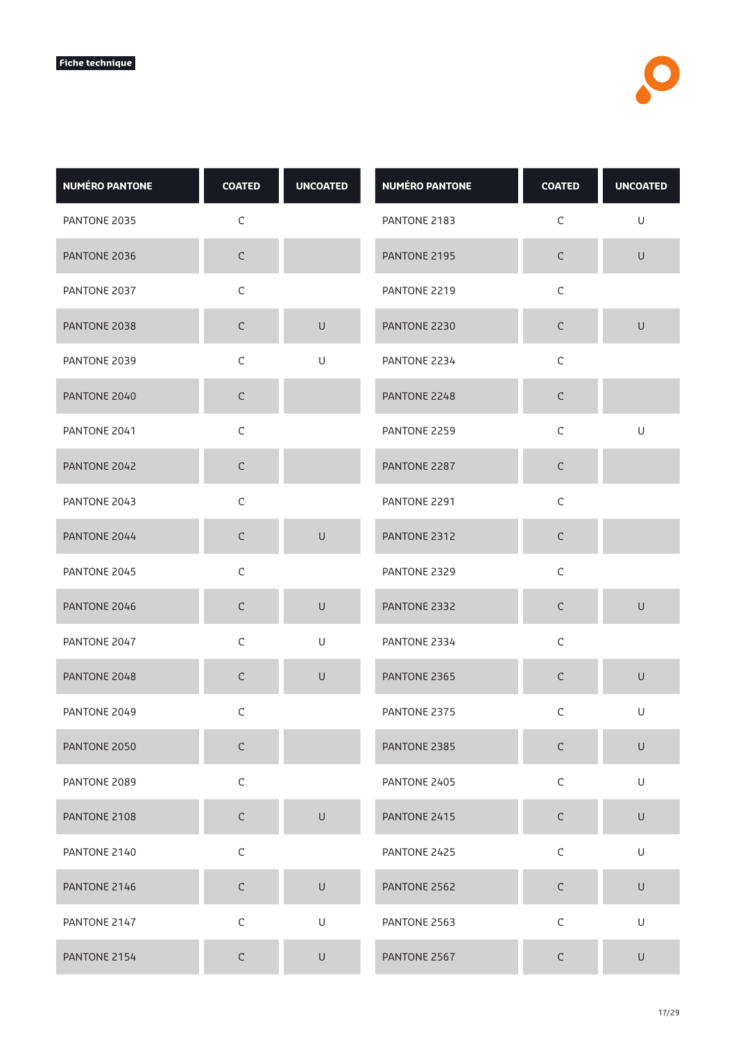| <b>NUMÉRO PANTONE</b> | <b>COATED</b> | <b>UNCOATED</b>                                                                                            | <b>NUMÉRO PANTONE</b> | <b>COATED</b> | <b>UNCOATED</b>                                                                                            |
|-----------------------|---------------|------------------------------------------------------------------------------------------------------------|-----------------------|---------------|------------------------------------------------------------------------------------------------------------|
| PANTONE 2035          | $\mathsf C$   |                                                                                                            | PANTONE 2183          | $\mathsf C$   | U                                                                                                          |
| PANTONE 2036          | $\mathsf C$   |                                                                                                            | PANTONE 2195          | $\mathsf C$   | $\mathsf{U}% _{T}=\mathsf{U}_{T}\!\left( a,b\right) ,\ \mathsf{U}_{T}=\mathsf{U}_{T}\!\left( a,b\right) ,$ |
| PANTONE 2037          | $\mathsf C$   |                                                                                                            | PANTONE 2219          | $\mathsf C$   |                                                                                                            |
| PANTONE 2038          | $\mathsf C$   | $\cup$                                                                                                     | PANTONE 2230          | $\mathsf C$   | $\cup$                                                                                                     |
| PANTONE 2039          | $\mathsf C$   | U                                                                                                          | PANTONE 2234          | $\mathsf C$   |                                                                                                            |
| PANTONE 2040          | $\mathsf C$   |                                                                                                            | PANTONE 2248          | $\mathsf C$   |                                                                                                            |
| PANTONE 2041          | $\mathsf C$   |                                                                                                            | PANTONE 2259          | $\mathsf C$   | U                                                                                                          |
| PANTONE 2042          | $\mathsf C$   |                                                                                                            | PANTONE 2287          | $\mathsf C$   |                                                                                                            |
| PANTONE 2043          | $\mathsf C$   |                                                                                                            | PANTONE 2291          | $\mathsf C$   |                                                                                                            |
| PANTONE 2044          | $\mathsf C$   | $\sf U$                                                                                                    | PANTONE 2312          | $\mathsf C$   |                                                                                                            |
| PANTONE 2045          | $\mathsf C$   |                                                                                                            | PANTONE 2329          | $\mathsf C$   |                                                                                                            |
| PANTONE 2046          | $\mathsf C$   | $\cup$                                                                                                     | PANTONE 2332          | $\mathsf C$   | $\cup$                                                                                                     |
| PANTONE 2047          | $\mathsf C$   | $\mathsf{U}% _{T}=\mathsf{U}_{T}\!\left( a,b\right) ,\ \mathsf{U}_{T}=\mathsf{U}_{T}\!\left( a,b\right) ,$ | PANTONE 2334          | $\mathsf C$   |                                                                                                            |
| PANTONE 2048          | $\mathsf C$   | $\sf U$                                                                                                    | PANTONE 2365          | $\mathsf C$   | $\mathsf{U}% _{T}=\mathsf{U}_{T}\!\left( a,b\right) ,\ \mathsf{U}_{T}=\mathsf{U}_{T}\!\left( a,b\right) ,$ |
| PANTONE 2049          | С             |                                                                                                            | PANTONE 2375          | $\mathsf C$   | $\cup$                                                                                                     |
| PANTONE 2050          | $\mathsf C$   |                                                                                                            | PANTONE 2385          | $\mathsf C$   | $\mathsf{U}% _{T}=\mathsf{U}_{T}\!\left( a,b\right) ,\ \mathsf{U}_{T}=\mathsf{U}_{T}\!\left( a,b\right) ,$ |
| PANTONE 2089          | $\mathsf C$   |                                                                                                            | PANTONE 2405          | $\mathsf C$   | U                                                                                                          |
| PANTONE 2108          | $\mathsf C$   | $\cup$                                                                                                     | PANTONE 2415          | $\mathsf C$   | $\mathsf U$                                                                                                |
| PANTONE 2140          | $\mathsf C$   |                                                                                                            | PANTONE 2425          | $\mathsf C$   | U                                                                                                          |
| PANTONE 2146          | $\mathsf C$   | $\sf U$                                                                                                    | PANTONE 2562          | $\mathsf C$   | $\cup$                                                                                                     |
| PANTONE 2147          | $\mathsf C$   | U                                                                                                          | PANTONE 2563          | $\mathsf C$   | U                                                                                                          |
| PANTONE 2154          | $\mathsf C$   | $\cup$                                                                                                     | PANTONE 2567          | $\mathsf C$   | $\cup$                                                                                                     |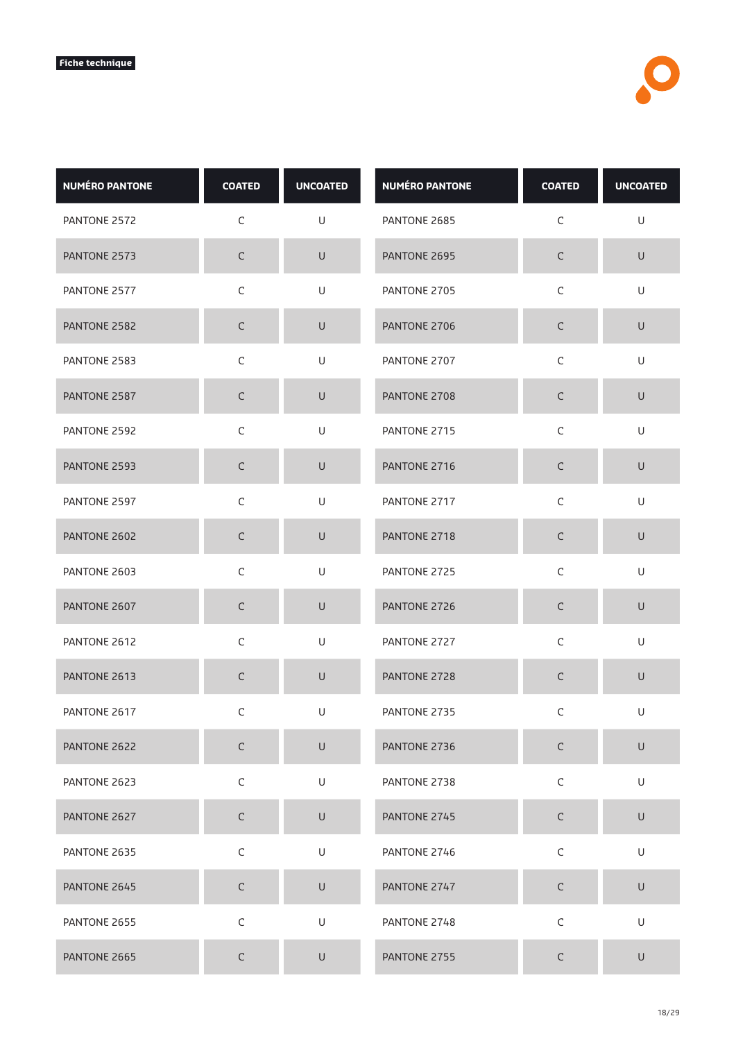| <b>NUMÉRO PANTONE</b> | <b>COATED</b> | <b>UNCOATED</b> | <b>NUMÉRO PANTONE</b> | <b>COATED</b> | <b>UNCOATED</b> |
|-----------------------|---------------|-----------------|-----------------------|---------------|-----------------|
| PANTONE 2572          | C             | U               | PANTONE 2685          | C             | U               |
| PANTONE 2573          | $\mathsf C$   | $\sf U$         | PANTONE 2695          | $\mathsf C$   | $\sf U$         |
| PANTONE 2577          | $\mathsf C$   | U               | PANTONE 2705          | $\mathsf C$   | U               |
| PANTONE 2582          | $\mathsf C$   | $\cup$          | PANTONE 2706          | С             | $\cup$          |
| PANTONE 2583          | $\mathsf C$   | U               | PANTONE 2707          | $\mathsf C$   | U               |
| PANTONE 2587          | $\mathsf C$   | $\cup$          | PANTONE 2708          | $\mathsf C$   | $\cup$          |
| PANTONE 2592          | C             | U               | PANTONE 2715          | C             | U               |
| PANTONE 2593          | $\mathsf C$   | $\sf U$         | PANTONE 2716          | С             | $\sf U$         |
| PANTONE 2597          | $\mathsf C$   | U               | PANTONE 2717          | $\mathsf C$   | $\cup$          |
| PANTONE 2602          | $\mathsf C$   | $\cup$          | PANTONE 2718          | С             | $\cup$          |
| PANTONE 2603          | $\mathsf C$   | U               | PANTONE 2725          | $\mathsf C$   | U               |
| PANTONE 2607          | C             | $\cup$          | PANTONE 2726          | C             | U               |
| PANTONE 2612          | $\mathsf C$   | U               | PANTONE 2727          | $\mathsf C$   | U               |
| PANTONE 2613          | $\mathsf C$   | $\cup$          | PANTONE 2728          | $\mathsf C$   | U               |
| PANTONE 2617          | C             | U               | PANTONE 2735          | C             | U               |
| PANTONE 2622          | $\mathsf C$   | $\sf U$         | PANTONE 2736          | $\mathsf C$   | $\sf U$         |
| PANTONE 2623          | $\mathsf C$   | U               | PANTONE 2738          | $\mathsf C$   | U               |
| PANTONE 2627          | $\mathsf C$   | $\sf U$         | PANTONE 2745          | $\mathsf C$   | $\sf U$         |
| PANTONE 2635          | $\mathsf C$   | $\mathsf U$     | PANTONE 2746          | $\mathsf C$   | U               |
| PANTONE 2645          | $\mathsf C$   | $\sf U$         | PANTONE 2747          | $\mathsf C$   | $\sf U$         |
| PANTONE 2655          | $\mathsf C$   | U               | PANTONE 2748          | $\mathsf C$   | U               |
| PANTONE 2665          | $\mathsf C$   | U               | PANTONE 2755          | С             | $\cup$          |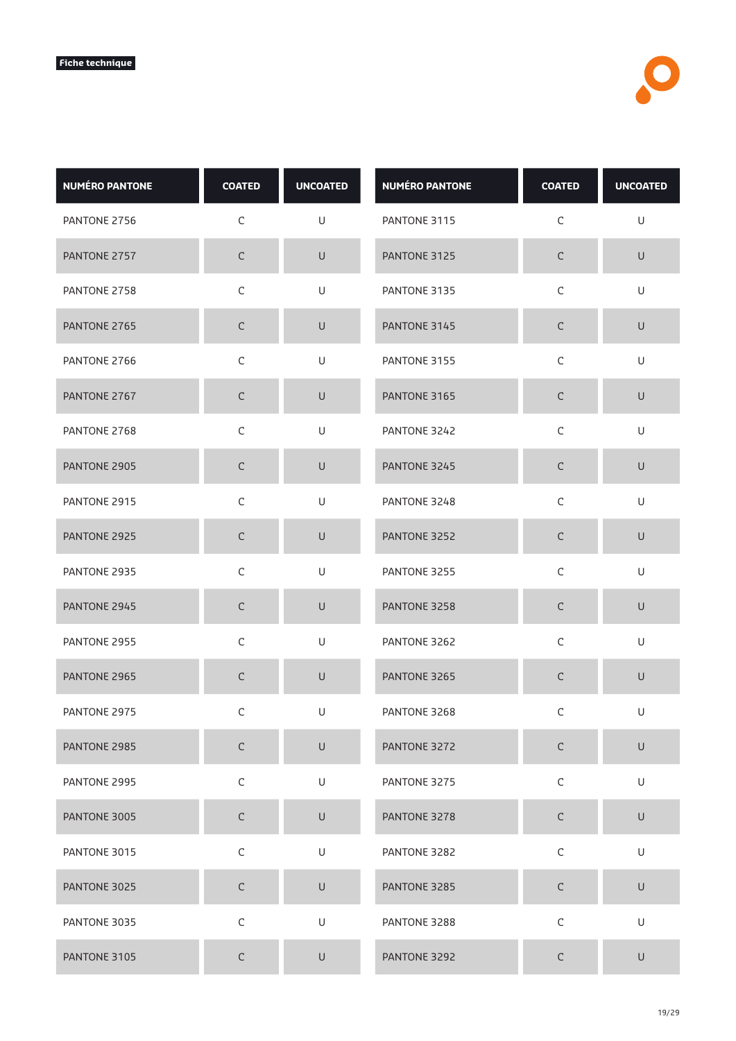| <b>NUMÉRO PANTONE</b> | <b>COATED</b> | <b>UNCOATED</b> | <b>NUMÉRO PANTONE</b> | <b>COATED</b> | <b>UNCOATED</b> |
|-----------------------|---------------|-----------------|-----------------------|---------------|-----------------|
| PANTONE 2756          | C             | U               | PANTONE 3115          | C             | U               |
| PANTONE 2757          | $\mathsf C$   | $\sf U$         | PANTONE 3125          | $\mathsf C$   | $\sf U$         |
| PANTONE 2758          | $\mathsf C$   | U               | PANTONE 3135          | $\mathsf C$   | U               |
| PANTONE 2765          | $\mathsf C$   | $\cup$          | PANTONE 3145          | С             | $\cup$          |
| PANTONE 2766          | $\mathsf C$   | U               | PANTONE 3155          | $\mathsf C$   | U               |
| PANTONE 2767          | $\mathsf C$   | $\cup$          | PANTONE 3165          | $\mathsf C$   | $\cup$          |
| PANTONE 2768          | $\mathsf C$   | U               | PANTONE 3242          | C             | U               |
| PANTONE 2905          | $\mathsf C$   | $\sf U$         | PANTONE 3245          | C             | $\sf U$         |
| PANTONE 2915          | $\mathsf C$   | U               | PANTONE 3248          | $\mathsf C$   | $\cup$          |
| PANTONE 2925          | $\mathsf C$   | $\cup$          | PANTONE 3252          | С             | $\sf U$         |
| PANTONE 2935          | $\mathsf C$   | U               | PANTONE 3255          | $\mathsf C$   | U               |
| PANTONE 2945          | C             | $\cup$          | PANTONE 3258          | $\mathsf C$   | U               |
| PANTONE 2955          | $\mathsf C$   | U               | PANTONE 3262          | $\mathsf C$   | U               |
| PANTONE 2965          | $\mathsf C$   | $\cup$          | PANTONE 3265          | $\mathsf C$   | $\cup$          |
| PANTONE 2975          | C             | U               | PANTONE 3268          | C             | U               |
| PANTONE 2985          | $\mathsf C$   | $\sf U$         | PANTONE 3272          | $\mathsf C$   | $\sf U$         |
| PANTONE 2995          | $\mathsf C$   | U               | PANTONE 3275          | $\mathsf C$   | U               |
| PANTONE 3005          | $\mathsf C$   | $\sf U$         | PANTONE 3278          | $\mathsf C$   | $\sf U$         |
| PANTONE 3015          | $\mathsf C$   | $\mathsf U$     | PANTONE 3282          | $\mathsf C$   | U               |
| PANTONE 3025          | $\mathsf C$   | $\sf U$         | PANTONE 3285          | $\mathsf C$   | $\sf U$         |
| PANTONE 3035          | $\mathsf C$   | U               | PANTONE 3288          | $\mathsf C$   | U               |
| PANTONE 3105          | $\mathsf C$   | U               | PANTONE 3292          | С             | $\sf U$         |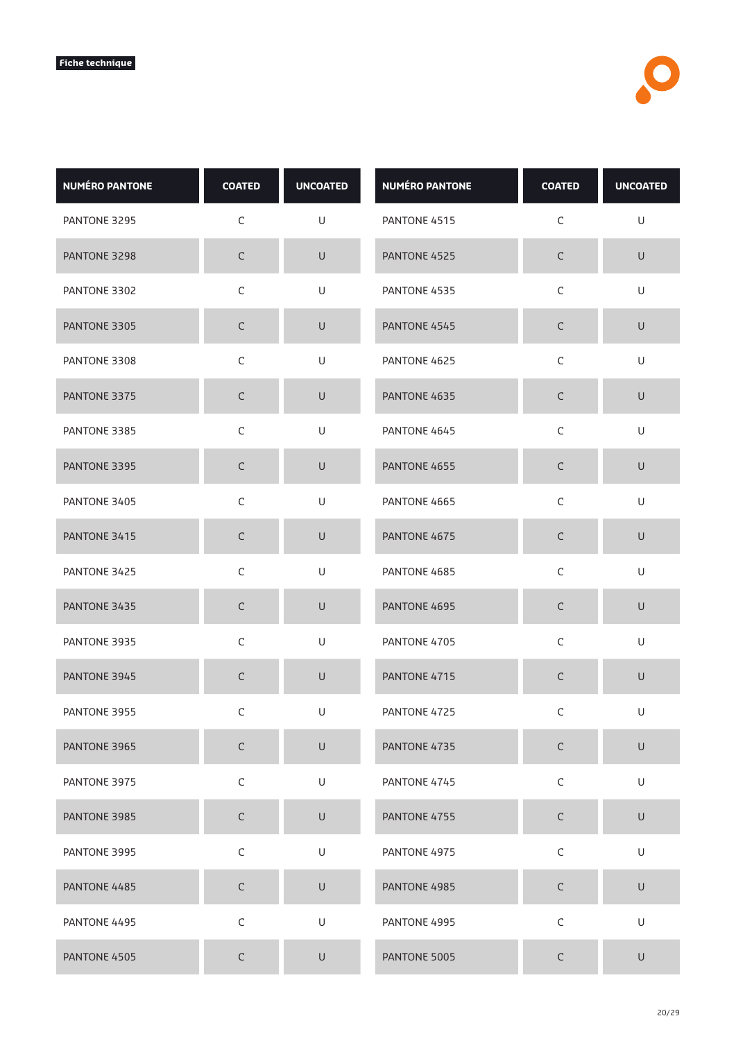| <b>NUMÉRO PANTONE</b> | <b>COATED</b> | <b>UNCOATED</b> | <b>NUMÉRO PANTONE</b> | <b>COATED</b> | <b>UNCOATED</b> |
|-----------------------|---------------|-----------------|-----------------------|---------------|-----------------|
| PANTONE 3295          | $\mathsf C$   | U               | PANTONE 4515          | $\mathsf C$   | U               |
| PANTONE 3298          | $\mathsf C$   | $\sf U$         | PANTONE 4525          | $\mathsf C$   | $\cup$          |
| PANTONE 3302          | $\mathsf C$   | U               | PANTONE 4535          | $\mathsf C$   | U               |
| PANTONE 3305          | $\mathsf C$   | U               | PANTONE 4545          | $\mathsf C$   | U               |
| PANTONE 3308          | $\mathsf C$   | U               | PANTONE 4625          | $\mathsf C$   | U               |
| PANTONE 3375          | $\mathsf C$   | $\cup$          | PANTONE 4635          | $\mathsf C$   | $\cup$          |
| PANTONE 3385          | $\mathsf C$   | U               | PANTONE 4645          | C             | U               |
| PANTONE 3395          | $\mathsf C$   | $\cup$          | PANTONE 4655          | $\mathsf C$   | $\cup$          |
| PANTONE 3405          | $\mathsf C$   | U               | PANTONE 4665          | $\mathsf C$   | U               |
| PANTONE 3415          | $\mathsf C$   | $\cup$          | PANTONE 4675          | $\mathsf C$   | $\cup$          |
| PANTONE 3425          | $\mathsf C$   | U               | PANTONE 4685          | $\mathsf C$   | U               |
| PANTONE 3435          | C             | $\cup$          | PANTONE 4695          | $\mathsf C$   | $\cup$          |
| PANTONE 3935          | $\mathsf C$   | U               | PANTONE 4705          | $\mathsf C$   | U               |
| PANTONE 3945          | $\mathsf C$   | $\cup$          | PANTONE 4715          | $\mathsf C$   | $\cup$          |
| PANTONE 3955          | C             | U               | PANTONE 4725          | C             | U               |
| PANTONE 3965          | $\mathsf C$   | $\cup$          | PANTONE 4735          | $\mathsf C$   | $\sf U$         |
| PANTONE 3975          | $\mathsf C$   | U               | PANTONE 4745          | $\mathsf C$   | U               |
| PANTONE 3985          | $\mathsf C$   | $\cup$          | PANTONE 4755          | $\mathsf C$   | $\sf U$         |
| PANTONE 3995          | $\mathsf C$   | U               | PANTONE 4975          | $\mathsf C$   | U               |
| PANTONE 4485          | $\mathsf C$   | $\mathsf U$     | PANTONE 4985          | $\mathsf C$   | $\sf U$         |
| PANTONE 4495          | $\mathsf C$   | U               | PANTONE 4995          | $\mathsf C$   | U               |
| PANTONE 4505          | $\mathsf C$   | U               | PANTONE 5005          | $\mathsf C$   | $\cup$          |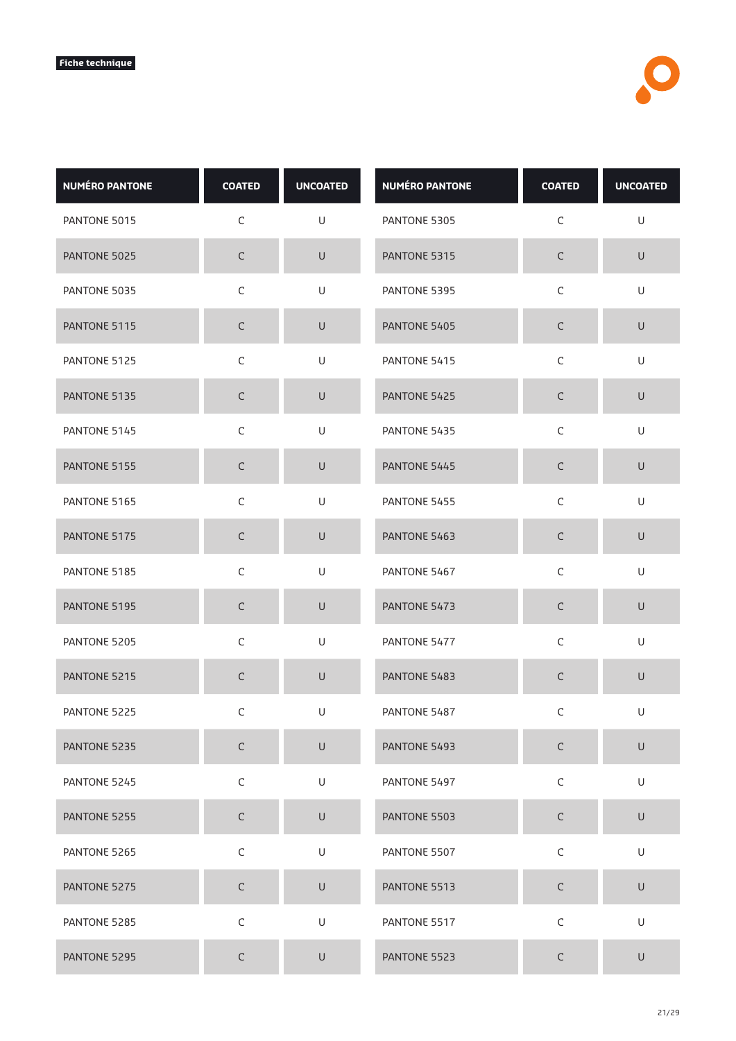| <b>NUMÉRO PANTONE</b> | <b>COATED</b> | <b>UNCOATED</b> | <b>NUMÉRO PANTONE</b> | <b>COATED</b> | <b>UNCOATED</b>                                                                                            |
|-----------------------|---------------|-----------------|-----------------------|---------------|------------------------------------------------------------------------------------------------------------|
| PANTONE 5015          | $\mathsf C$   | U               | PANTONE 5305          | C             | U                                                                                                          |
| PANTONE 5025          | $\mathsf C$   | $\sf U$         | PANTONE 5315          | $\mathsf C$   | $\sf U$                                                                                                    |
| PANTONE 5035          | $\mathsf C$   | U               | PANTONE 5395          | C             | U                                                                                                          |
| PANTONE 5115          | $\mathsf C$   | $\cup$          | PANTONE 5405          | С             | $\cup$                                                                                                     |
| PANTONE 5125          | $\mathsf C$   | U               | PANTONE 5415          | $\mathsf C$   | $\cup$                                                                                                     |
| PANTONE 5135          | $\mathsf C$   | $\sf U$         | PANTONE 5425          | С             | $\sf U$                                                                                                    |
| PANTONE 5145          | C             | U               | PANTONE 5435          | C             | U                                                                                                          |
| PANTONE 5155          | $\mathsf C$   | $\cup$          | PANTONE 5445          | $\mathsf C$   | $\cup$                                                                                                     |
| PANTONE 5165          | $\mathsf C$   | U               | PANTONE 5455          | $\mathsf C$   | U                                                                                                          |
| PANTONE 5175          | $\mathsf C$   | U               | PANTONE 5463          | $\mathsf C$   | U                                                                                                          |
| PANTONE 5185          | $\mathsf C$   | U               | PANTONE 5467          | $\mathsf C$   | U                                                                                                          |
| PANTONE 5195          | C             | $\cup$          | PANTONE 5473          | C             | $\cup$                                                                                                     |
| PANTONE 5205          | $\mathsf C$   | $\cup$          | PANTONE 5477          | $\mathsf C$   | $\cup$                                                                                                     |
| PANTONE 5215          | C             | $\cup$          | PANTONE 5483          | С             | $\mathsf{U}% _{T}=\mathsf{U}_{T}\!\left( a,b\right) ,\ \mathsf{U}_{T}=\mathsf{U}_{T}\!\left( a,b\right) ,$ |
| PANTONE 5225          | C             | U               | PANTONE 5487          | C             | U                                                                                                          |
| PANTONE 5235          | $\mathsf C$   | $\cup$          | PANTONE 5493          | $\mathsf C$   | $\cup$                                                                                                     |
| PANTONE 5245          | $\mathsf C$   | U               | PANTONE 5497          | $\mathsf C$   | U                                                                                                          |
| PANTONE 5255          | $\mathsf C$   | $\mathsf U$     | PANTONE 5503          | $\mathsf C$   | $\mathsf U$                                                                                                |
| PANTONE 5265          | $\mathsf C$   | U               | PANTONE 5507          | $\mathsf C$   | U                                                                                                          |
| PANTONE 5275          | $\mathsf C$   | U               | PANTONE 5513          | $\mathsf C$   | U                                                                                                          |
| PANTONE 5285          | $\mathsf C$   | U               | PANTONE 5517          | $\mathsf C$   | U                                                                                                          |
| PANTONE 5295          | $\mathsf C$   | $\cup$          | PANTONE 5523          | $\mathsf C$   | $\cup$                                                                                                     |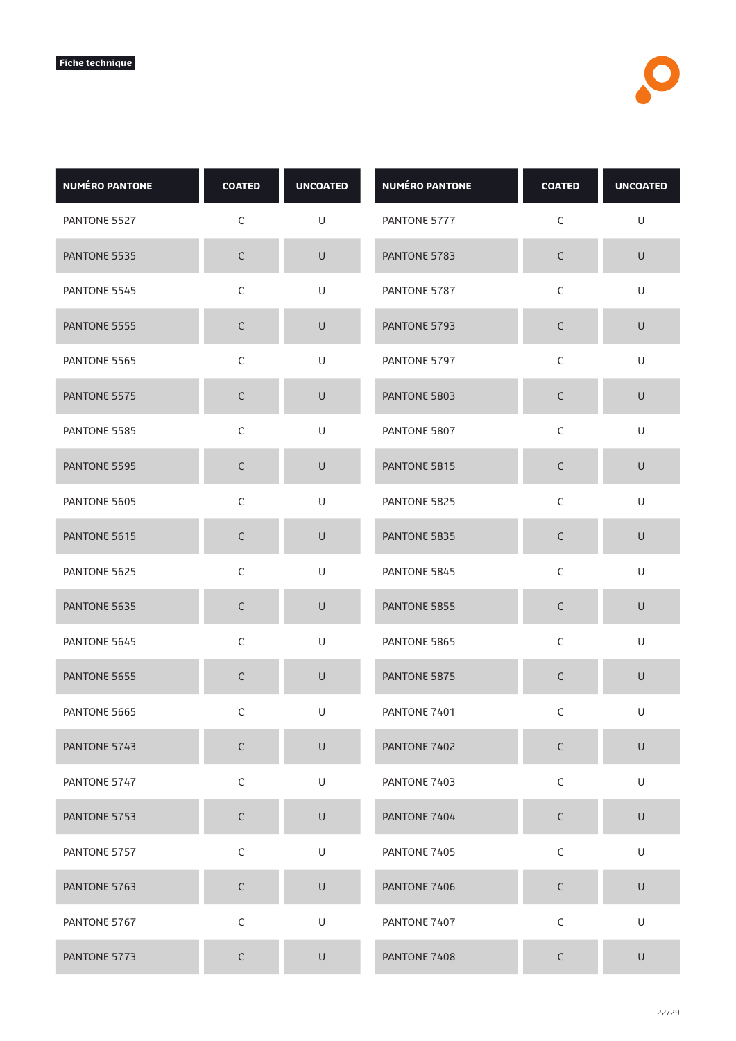| <b>NUMÉRO PANTONE</b> | <b>COATED</b> | <b>UNCOATED</b> | <b>NUMÉRO PANTONE</b> | <b>COATED</b> | <b>UNCOATED</b> |
|-----------------------|---------------|-----------------|-----------------------|---------------|-----------------|
| PANTONE 5527          | C             | U               | PANTONE 5777          | C             | U               |
| PANTONE 5535          | $\mathsf C$   | $\sf U$         | PANTONE 5783          | $\mathsf C$   | $\sf U$         |
| PANTONE 5545          | $\mathsf C$   | U               | PANTONE 5787          | $\mathsf C$   | U               |
| PANTONE 5555          | $\mathsf C$   | $\cup$          | PANTONE 5793          | С             | $\cup$          |
| PANTONE 5565          | $\mathsf C$   | U               | PANTONE 5797          | $\mathsf C$   | U               |
| PANTONE 5575          | $\mathsf C$   | $\cup$          | PANTONE 5803          | $\mathsf C$   | $\cup$          |
| PANTONE 5585          | $\mathsf C$   | U               | PANTONE 5807          | C             | U               |
| PANTONE 5595          | $\mathsf C$   | $\sf U$         | PANTONE 5815          | C             | $\sf U$         |
| PANTONE 5605          | $\mathsf C$   | U               | PANTONE 5825          | $\mathsf C$   | $\cup$          |
| PANTONE 5615          | $\mathsf C$   | $\cup$          | PANTONE 5835          | С             | $\cup$          |
| PANTONE 5625          | $\mathsf C$   | U               | PANTONE 5845          | $\mathsf C$   | U               |
| PANTONE 5635          | C             | $\cup$          | PANTONE 5855          | $\mathsf C$   | U               |
| PANTONE 5645          | $\mathsf C$   | U               | PANTONE 5865          | $\mathsf C$   | U               |
| PANTONE 5655          | $\mathsf C$   | $\cup$          | PANTONE 5875          | $\mathsf C$   | $\cup$          |
| PANTONE 5665          | C             | U               | PANTONE 7401          | C             | U               |
| PANTONE 5743          | $\mathsf C$   | $\sf U$         | PANTONE 7402          | $\mathsf C$   | $\sf U$         |
| PANTONE 5747          | $\mathsf C$   | U               | PANTONE 7403          | $\mathsf C$   | U               |
| PANTONE 5753          | $\mathsf C$   | $\mathsf U$     | PANTONE 7404          | $\mathsf C$   | $\sf U$         |
| PANTONE 5757          | $\mathsf C$   | $\mathsf U$     | PANTONE 7405          | $\mathsf C$   | U               |
| PANTONE 5763          | $\mathsf C$   | $\sf U$         | PANTONE 7406          | $\mathsf C$   | $\sf U$         |
| PANTONE 5767          | $\mathsf C$   | U               | PANTONE 7407          | $\mathsf C$   | U               |
| PANTONE 5773          | $\mathsf C$   | U               | PANTONE 7408          | С             | $\cup$          |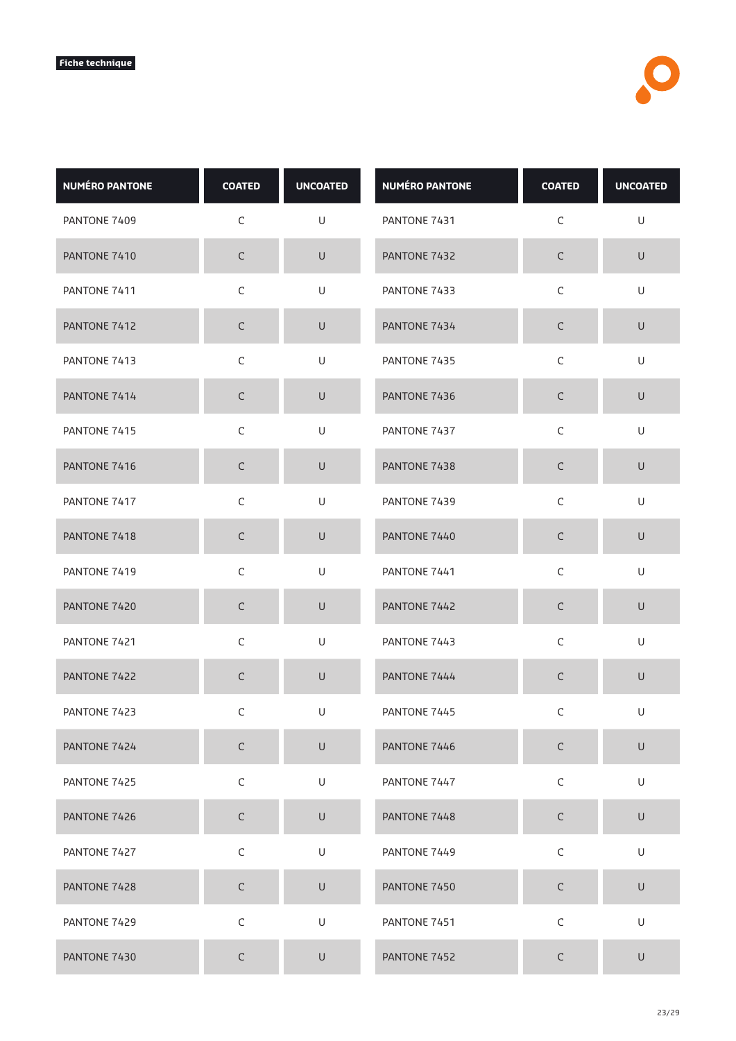| <b>NUMÉRO PANTONE</b> | <b>COATED</b> | <b>UNCOATED</b>                                                                                            | <b>NUMÉRO PANTONE</b> | <b>COATED</b> | <b>UNCOATED</b>                                                                                            |
|-----------------------|---------------|------------------------------------------------------------------------------------------------------------|-----------------------|---------------|------------------------------------------------------------------------------------------------------------|
| PANTONE 7409          | $\mathsf C$   | U                                                                                                          | PANTONE 7431          | C             | U                                                                                                          |
| PANTONE 7410          | $\mathsf C$   | $\cup$                                                                                                     | PANTONE 7432          | $\mathsf C$   | $\cup$                                                                                                     |
| PANTONE 7411          | $\mathsf C$   | U                                                                                                          | PANTONE 7433          | $\mathsf C$   | U                                                                                                          |
| PANTONE 7412          | $\mathsf C$   | $\cup$                                                                                                     | PANTONE 7434          | $\mathsf C$   | $\cup$                                                                                                     |
| PANTONE 7413          | $\mathsf C$   | U                                                                                                          | PANTONE 7435          | $\mathsf C$   | U                                                                                                          |
| PANTONE 7414          | $\mathsf C$   | $\cup$                                                                                                     | PANTONE 7436          | $\mathsf C$   | $\cup$                                                                                                     |
| PANTONE 7415          | $\mathsf C$   | U                                                                                                          | PANTONE 7437          | $\mathsf C$   | U                                                                                                          |
| PANTONE 7416          | $\mathsf C$   | $\cup$                                                                                                     | PANTONE 7438          | $\mathsf C$   | $\cup$                                                                                                     |
| PANTONE 7417          | $\mathsf C$   | U                                                                                                          | PANTONE 7439          | $\mathsf C$   | U                                                                                                          |
| PANTONE 7418          | $\mathsf C$   | $\sf U$                                                                                                    | PANTONE 7440          | $\mathsf C$   | $\mathsf U$                                                                                                |
| PANTONE 7419          | C             | U                                                                                                          | PANTONE 7441          | C             | U                                                                                                          |
| PANTONE 7420          | $\mathsf C$   | $\cup$                                                                                                     | PANTONE 7442          | $\mathsf C$   | $\cup$                                                                                                     |
| PANTONE 7421          | $\mathsf C$   | U                                                                                                          | PANTONE 7443          | $\mathsf C$   | U                                                                                                          |
| PANTONE 7422          | $\mathsf C$   | U                                                                                                          | PANTONE 7444          | $\mathsf C$   | $\sf U$                                                                                                    |
| PANTONE 7423          | С             | U                                                                                                          | PANTONE 7445          | C             | U                                                                                                          |
| PANTONE 7424          | $\mathsf C$   | U                                                                                                          | PANTONE 7446          | $\mathsf C$   | U                                                                                                          |
| PANTONE 7425          | $\mathsf C$   | U                                                                                                          | PANTONE 7447          | $\mathsf C$   | $\sf U$                                                                                                    |
| PANTONE 7426          | $\mathsf C$   | U                                                                                                          | PANTONE 7448          | $\mathsf C$   | $\sf U$                                                                                                    |
| PANTONE 7427          | $\mathsf C$   | U                                                                                                          | PANTONE 7449          | $\mathsf C$   | U                                                                                                          |
| PANTONE 7428          | $\mathsf C$   | $\cup$                                                                                                     | PANTONE 7450          | $\mathsf C$   | $\cup$                                                                                                     |
| PANTONE 7429          | $\mathsf C$   | $\mathsf{U}% _{T}=\mathsf{U}_{T}\!\left( a,b\right) ,\ \mathsf{U}_{T}=\mathsf{U}_{T}\!\left( a,b\right) ,$ | PANTONE 7451          | $\mathsf C$   | $\mathsf{U}% _{T}=\mathsf{U}_{T}\!\left( a,b\right) ,\ \mathsf{U}_{T}=\mathsf{U}_{T}\!\left( a,b\right) ,$ |
| PANTONE 7430          | $\mathsf C$   | U                                                                                                          | PANTONE 7452          | $\mathsf C$   | $\cup$                                                                                                     |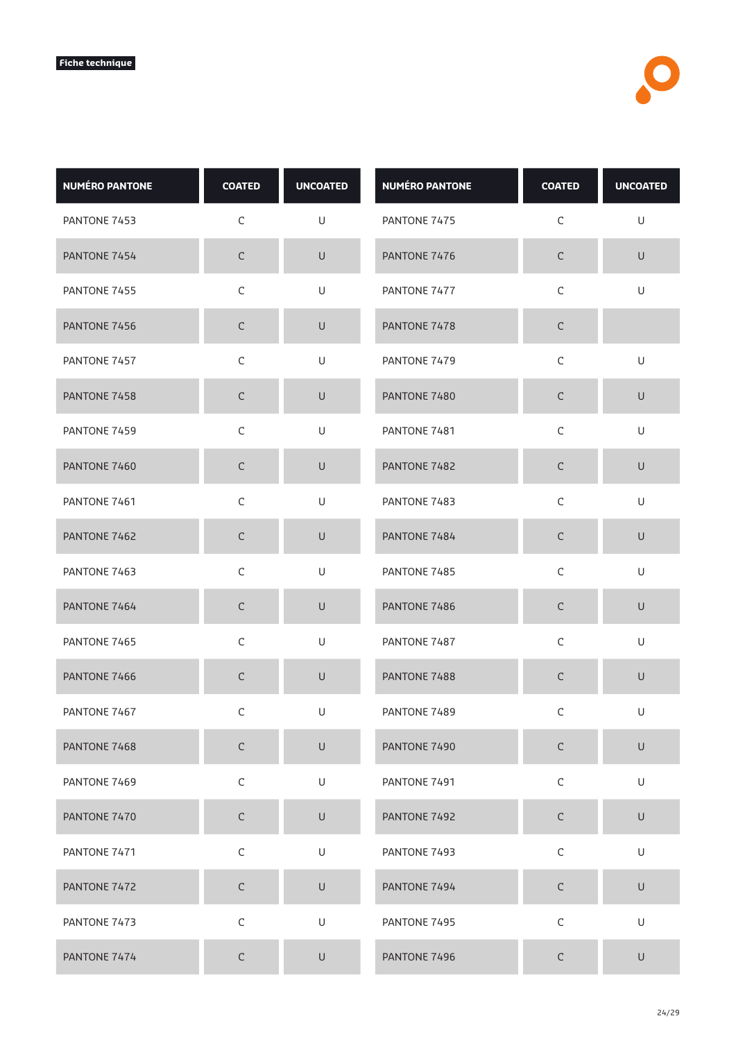| <b>NUMÉRO PANTONE</b> | <b>COATED</b> | <b>UNCOATED</b>                                                                                            | <b>NUMÉRO PANTONE</b> | <b>COATED</b> | <b>UNCOATED</b>                                                                                            |
|-----------------------|---------------|------------------------------------------------------------------------------------------------------------|-----------------------|---------------|------------------------------------------------------------------------------------------------------------|
| PANTONE 7453          | $\mathsf C$   | U                                                                                                          | PANTONE 7475          | C             | U                                                                                                          |
| PANTONE 7454          | $\mathsf C$   | U                                                                                                          | PANTONE 7476          | $\mathsf C$   | $\cup$                                                                                                     |
| PANTONE 7455          | $\mathsf C$   | U                                                                                                          | PANTONE 7477          | $\mathsf C$   | U                                                                                                          |
| PANTONE 7456          | $\mathsf C$   | $\cup$                                                                                                     | PANTONE 7478          | $\mathsf C$   |                                                                                                            |
| PANTONE 7457          | $\mathsf C$   | U                                                                                                          | PANTONE 7479          | $\mathsf C$   | U                                                                                                          |
| PANTONE 7458          | $\mathsf C$   | $\cup$                                                                                                     | PANTONE 7480          | $\mathsf C$   | $\cup$                                                                                                     |
| PANTONE 7459          | $\mathsf C$   | U                                                                                                          | PANTONE 7481          | $\mathsf C$   | U                                                                                                          |
| PANTONE 7460          | $\mathsf C$   | $\cup$                                                                                                     | PANTONE 7482          | $\mathsf C$   | $\cup$                                                                                                     |
| PANTONE 7461          | $\mathsf C$   | U                                                                                                          | PANTONE 7483          | $\mathsf C$   | U                                                                                                          |
| PANTONE 7462          | $\mathsf C$   | $\sf U$                                                                                                    | PANTONE 7484          | $\mathsf C$   | $\mathsf U$                                                                                                |
| PANTONE 7463          | C             | U                                                                                                          | PANTONE 7485          | C             | U                                                                                                          |
| PANTONE 7464          | $\mathsf C$   | $\cup$                                                                                                     | PANTONE 7486          | $\mathsf C$   | $\cup$                                                                                                     |
| PANTONE 7465          | $\mathsf C$   | U                                                                                                          | PANTONE 7487          | $\mathsf C$   | U                                                                                                          |
| PANTONE 7466          | $\mathsf C$   | U                                                                                                          | PANTONE 7488          | $\mathsf C$   | $\sf U$                                                                                                    |
| PANTONE 7467          | С             | U                                                                                                          | PANTONE 7489          | C             | U                                                                                                          |
| PANTONE 7468          | $\mathsf C$   | U                                                                                                          | PANTONE 7490          | $\mathsf C$   | U                                                                                                          |
| PANTONE 7469          | $\mathsf C$   | U                                                                                                          | PANTONE 7491          | $\mathsf C$   | $\sf U$                                                                                                    |
| PANTONE 7470          | $\mathsf C$   | U                                                                                                          | PANTONE 7492          | $\mathsf C$   | $\sf U$                                                                                                    |
| PANTONE 7471          | $\mathsf C$   | U                                                                                                          | PANTONE 7493          | $\mathsf C$   | U                                                                                                          |
| PANTONE 7472          | $\mathsf C$   | $\cup$                                                                                                     | PANTONE 7494          | $\mathsf C$   | $\cup$                                                                                                     |
| PANTONE 7473          | $\mathsf C$   | $\mathsf{U}% _{T}=\mathsf{U}_{T}\!\left( a,b\right) ,\ \mathsf{U}_{T}=\mathsf{U}_{T}\!\left( a,b\right) ,$ | PANTONE 7495          | $\mathsf C$   | $\mathsf{U}% _{T}=\mathsf{U}_{T}\!\left( a,b\right) ,\ \mathsf{U}_{T}=\mathsf{U}_{T}\!\left( a,b\right) ,$ |
| PANTONE 7474          | $\mathsf C$   | U                                                                                                          | PANTONE 7496          | $\mathsf C$   | $\cup$                                                                                                     |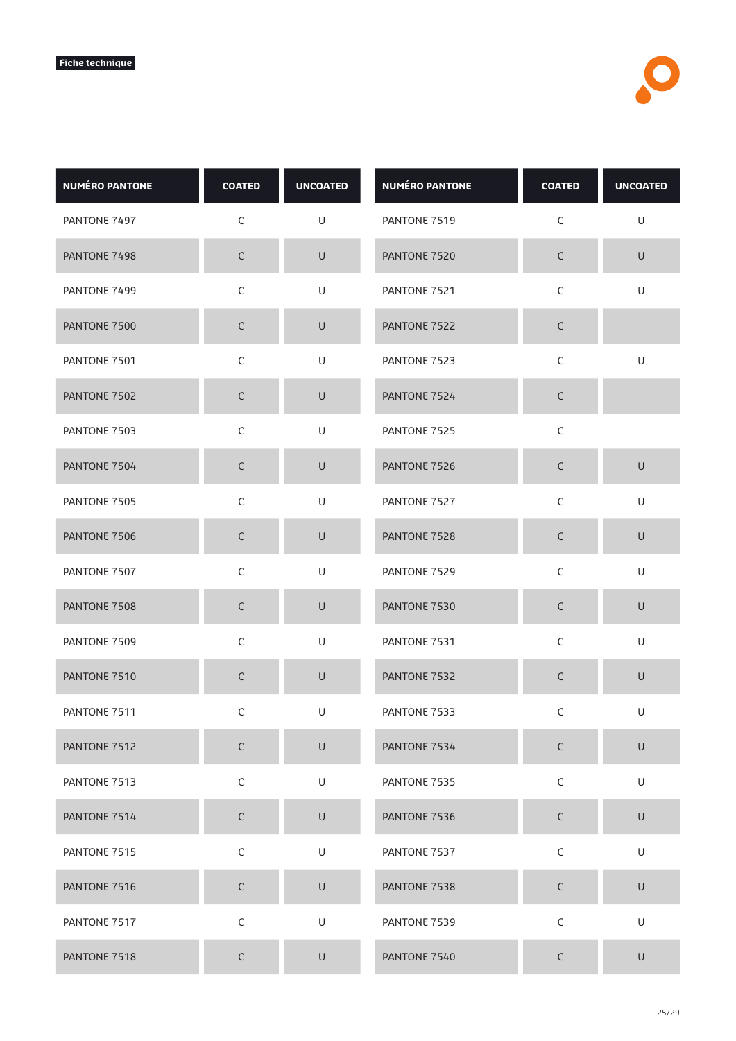| <b>NUMÉRO PANTONE</b> | <b>COATED</b> | <b>UNCOATED</b>                                                                                            | <b>NUMÉRO PANTONE</b> | <b>COATED</b> | <b>UNCOATED</b>                                                                                            |
|-----------------------|---------------|------------------------------------------------------------------------------------------------------------|-----------------------|---------------|------------------------------------------------------------------------------------------------------------|
| PANTONE 7497          | $\mathsf C$   | U                                                                                                          | PANTONE 7519          | C             | U                                                                                                          |
| PANTONE 7498          | $\mathsf C$   | U                                                                                                          | PANTONE 7520          | $\mathsf C$   | $\cup$                                                                                                     |
| PANTONE 7499          | $\mathsf C$   | U                                                                                                          | PANTONE 7521          | $\mathsf C$   | U                                                                                                          |
| PANTONE 7500          | $\mathsf C$   | U                                                                                                          | PANTONE 7522          | $\mathsf C$   |                                                                                                            |
| PANTONE 7501          | $\mathsf C$   | U                                                                                                          | PANTONE 7523          | $\mathsf C$   | U                                                                                                          |
| PANTONE 7502          | $\mathsf C$   | $\cup$                                                                                                     | PANTONE 7524          | $\mathsf C$   |                                                                                                            |
| PANTONE 7503          | $\mathsf C$   | U                                                                                                          | PANTONE 7525          | $\mathsf C$   |                                                                                                            |
| PANTONE 7504          | $\mathsf C$   | $\cup$                                                                                                     | PANTONE 7526          | $\mathsf C$   | $\cup$                                                                                                     |
| PANTONE 7505          | $\mathsf C$   | U                                                                                                          | PANTONE 7527          | $\mathsf C$   | U                                                                                                          |
| PANTONE 7506          | $\mathsf C$   | $\sf U$                                                                                                    | PANTONE 7528          | $\mathsf C$   | $\mathsf U$                                                                                                |
| PANTONE 7507          | $\mathsf C$   | U                                                                                                          | PANTONE 7529          | $\mathsf C$   | U                                                                                                          |
| PANTONE 7508          | C             | $\cup$                                                                                                     | PANTONE 7530          | $\mathsf C$   | $\cup$                                                                                                     |
| PANTONE 7509          | $\mathsf C$   | U                                                                                                          | PANTONE 7531          | $\mathsf C$   | U                                                                                                          |
| PANTONE 7510          | $\mathsf C$   | U                                                                                                          | PANTONE 7532          | $\mathsf C$   | $\sf U$                                                                                                    |
| PANTONE 7511          | С             | U                                                                                                          | PANTONE 7533          | C             | U                                                                                                          |
| PANTONE 7512          | $\mathsf C$   | U                                                                                                          | PANTONE 7534          | $\mathsf C$   | U                                                                                                          |
| PANTONE 7513          | $\mathsf C$   | U                                                                                                          | PANTONE 7535          | $\mathsf C$   | $\sf U$                                                                                                    |
| PANTONE 7514          | $\mathsf C$   | U                                                                                                          | PANTONE 7536          | $\mathsf C$   | $\sf U$                                                                                                    |
| PANTONE 7515          | $\mathsf C$   | U                                                                                                          | PANTONE 7537          | $\mathsf C$   | U                                                                                                          |
| PANTONE 7516          | $\mathsf C$   | $\cup$                                                                                                     | PANTONE 7538          | $\mathsf C$   | $\cup$                                                                                                     |
| PANTONE 7517          | $\mathsf C$   | $\mathsf{U}% _{T}=\mathsf{U}_{T}\!\left( a,b\right) ,\ \mathsf{U}_{T}=\mathsf{U}_{T}\!\left( a,b\right) ,$ | PANTONE 7539          | $\mathsf C$   | $\mathsf{U}% _{T}=\mathsf{U}_{T}\!\left( a,b\right) ,\ \mathsf{U}_{T}=\mathsf{U}_{T}\!\left( a,b\right) ,$ |
| PANTONE 7518          | $\mathsf C$   | U                                                                                                          | PANTONE 7540          | $\mathsf C$   | $\cup$                                                                                                     |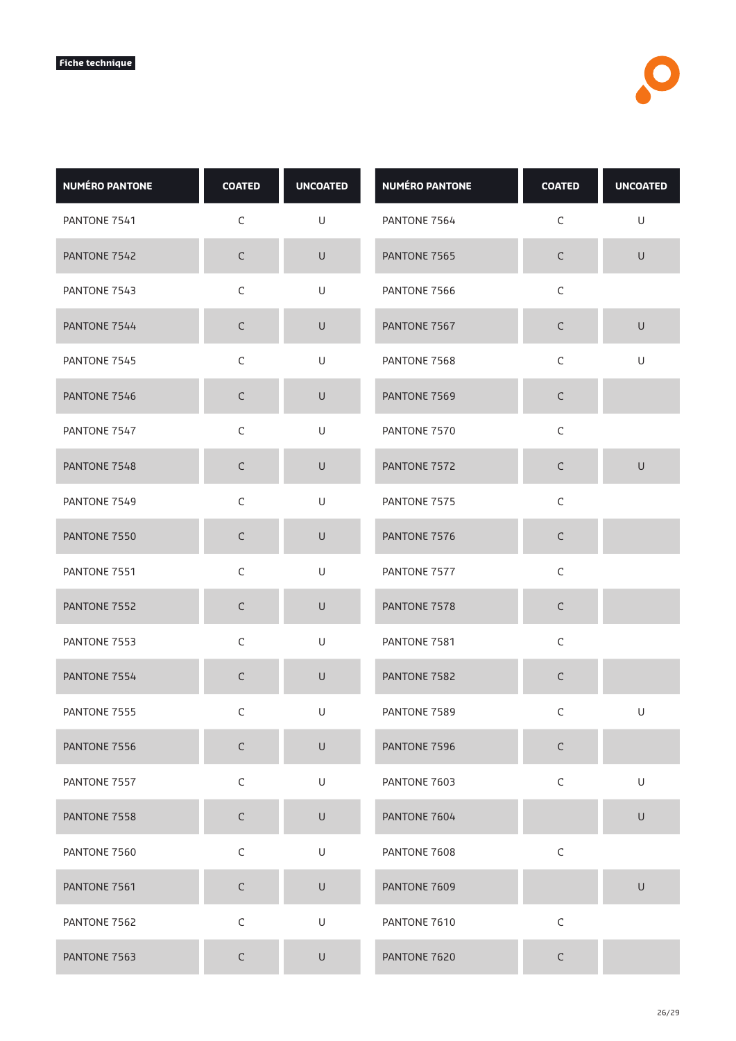| <b>NUMÉRO PANTONE</b> | <b>COATED</b> | <b>UNCOATED</b>                                                                                            | <b>NUMÉRO PANTONE</b> | <b>COATED</b> | <b>UNCOATED</b> |
|-----------------------|---------------|------------------------------------------------------------------------------------------------------------|-----------------------|---------------|-----------------|
| PANTONE 7541          | C             | U                                                                                                          | PANTONE 7564          | C             | U               |
| PANTONE 7542          | $\mathsf C$   | $\cup$                                                                                                     | PANTONE 7565          | $\mathsf C$   | $\cup$          |
| PANTONE 7543          | $\mathsf C$   | U                                                                                                          | PANTONE 7566          | $\mathsf C$   |                 |
| PANTONE 7544          | $\mathsf C$   | $\sf U$                                                                                                    | PANTONE 7567          | $\mathsf C$   | $\cup$          |
| PANTONE 7545          | $\mathsf C$   | U                                                                                                          | PANTONE 7568          | $\mathsf C$   | U               |
| PANTONE 7546          | $\mathsf C$   | U                                                                                                          | PANTONE 7569          | $\mathsf C$   |                 |
| PANTONE 7547          | $\mathsf C$   | U                                                                                                          | PANTONE 7570          | $\mathsf C$   |                 |
| PANTONE 7548          | $\mathsf C$   | $\cup$                                                                                                     | PANTONE 7572          | $\mathsf C$   | $\cup$          |
| PANTONE 7549          | $\mathsf C$   | U                                                                                                          | PANTONE 7575          | $\mathsf C$   |                 |
| PANTONE 7550          | $\mathsf C$   | U                                                                                                          | PANTONE 7576          | $\mathsf C$   |                 |
| PANTONE 7551          | $\mathsf C$   | U                                                                                                          | PANTONE 7577          | $\mathsf C$   |                 |
| PANTONE 7552          | $\mathsf C$   | $\cup$                                                                                                     | PANTONE 7578          | $\mathsf C$   |                 |
| PANTONE 7553          | $\mathsf C$   | U                                                                                                          | PANTONE 7581          | $\mathsf C$   |                 |
| PANTONE 7554          | $\mathsf C$   | $\mathsf{U}% _{T}=\mathsf{U}_{T}\!\left( a,b\right) ,\ \mathsf{U}_{T}=\mathsf{U}_{T}\!\left( a,b\right) ,$ | PANTONE 7582          | $\mathsf C$   |                 |
| PANTONE 7555          | C             | U                                                                                                          | PANTONE 7589          | C             | U               |
| PANTONE 7556          | $\mathsf C$   | U                                                                                                          | PANTONE 7596          | $\mathsf C$   |                 |
| PANTONE 7557          | $\mathsf C$   | U                                                                                                          | PANTONE 7603          | $\mathsf C$   | U               |
| PANTONE 7558          | $\mathsf C$   | $\sf U$                                                                                                    | PANTONE 7604          |               | U               |
| PANTONE 7560          | $\mathsf C$   | U                                                                                                          | PANTONE 7608          | $\mathsf C$   |                 |
| PANTONE 7561          | $\mathsf C$   | $\cup$                                                                                                     | PANTONE 7609          |               | $\cup$          |
| PANTONE 7562          | $\mathsf C$   | U                                                                                                          | PANTONE 7610          | $\mathsf C$   |                 |
| PANTONE 7563          | $\mathsf C$   | $\cup$                                                                                                     | PANTONE 7620          | $\mathsf C$   |                 |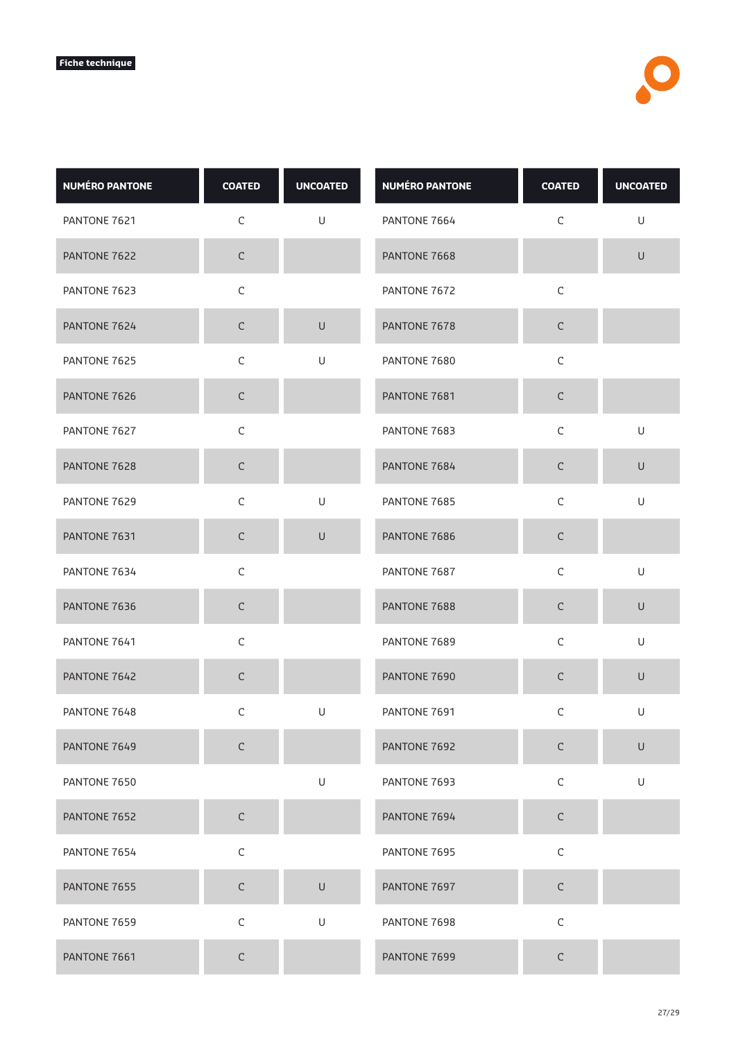| <b>NUMÉRO PANTONE</b> | <b>COATED</b> | <b>UNCOATED</b> | <b>NUMÉRO PANTONE</b> | <b>COATED</b> | <b>UNCOATED</b> |
|-----------------------|---------------|-----------------|-----------------------|---------------|-----------------|
| PANTONE 7621          | C             | U               | PANTONE 7664          | C             | U               |
| PANTONE 7622          | $\mathsf C$   |                 | PANTONE 7668          |               | $\sf U$         |
| PANTONE 7623          | $\mathsf C$   |                 | PANTONE 7672          | $\mathsf C$   |                 |
| PANTONE 7624          | $\mathsf C$   | $\sf U$         | PANTONE 7678          | $\mathsf C$   |                 |
| PANTONE 7625          | $\mathsf C$   | U               | PANTONE 7680          | $\mathsf C$   |                 |
| PANTONE 7626          | $\mathsf C$   |                 | PANTONE 7681          | $\mathsf C$   |                 |
| PANTONE 7627          | $\mathsf C$   |                 | PANTONE 7683          | $\mathsf C$   | U               |
| PANTONE 7628          | $\mathsf C$   |                 | PANTONE 7684          | $\mathsf C$   | $\cup$          |
| PANTONE 7629          | $\mathsf C$   | U               | PANTONE 7685          | $\mathsf C$   | U               |
| PANTONE 7631          | $\mathsf C$   | U               | PANTONE 7686          | $\mathsf C$   |                 |
| PANTONE 7634          | $\mathsf C$   |                 | PANTONE 7687          | $\mathsf C$   | U               |
| PANTONE 7636          | $\mathsf C$   |                 | PANTONE 7688          | $\mathsf C$   | $\cup$          |
| PANTONE 7641          | $\mathsf C$   |                 | PANTONE 7689          | $\mathsf C$   | U               |
| PANTONE 7642          | $\mathsf C$   |                 | PANTONE 7690          | $\mathsf C$   | $\sf U$         |
| PANTONE 7648          | C             | U               | PANTONE 7691          | C             | U               |
| PANTONE 7649          | $\mathsf C$   |                 | PANTONE 7692          | C             | U               |
| PANTONE 7650          |               | U               | PANTONE 7693          | $\mathsf C$   | U               |
| PANTONE 7652          | $\mathsf C$   |                 | PANTONE 7694          | $\mathsf C$   |                 |
| PANTONE 7654          | $\mathsf C$   |                 | PANTONE 7695          | $\mathsf C$   |                 |
| PANTONE 7655          | $\mathsf C$   | U               | PANTONE 7697          | $\mathsf C$   |                 |
| PANTONE 7659          | $\mathsf C$   | $\mathsf U$     | PANTONE 7698          | $\mathsf C$   |                 |
| PANTONE 7661          | $\mathsf C$   |                 | PANTONE 7699          | $\mathsf C$   |                 |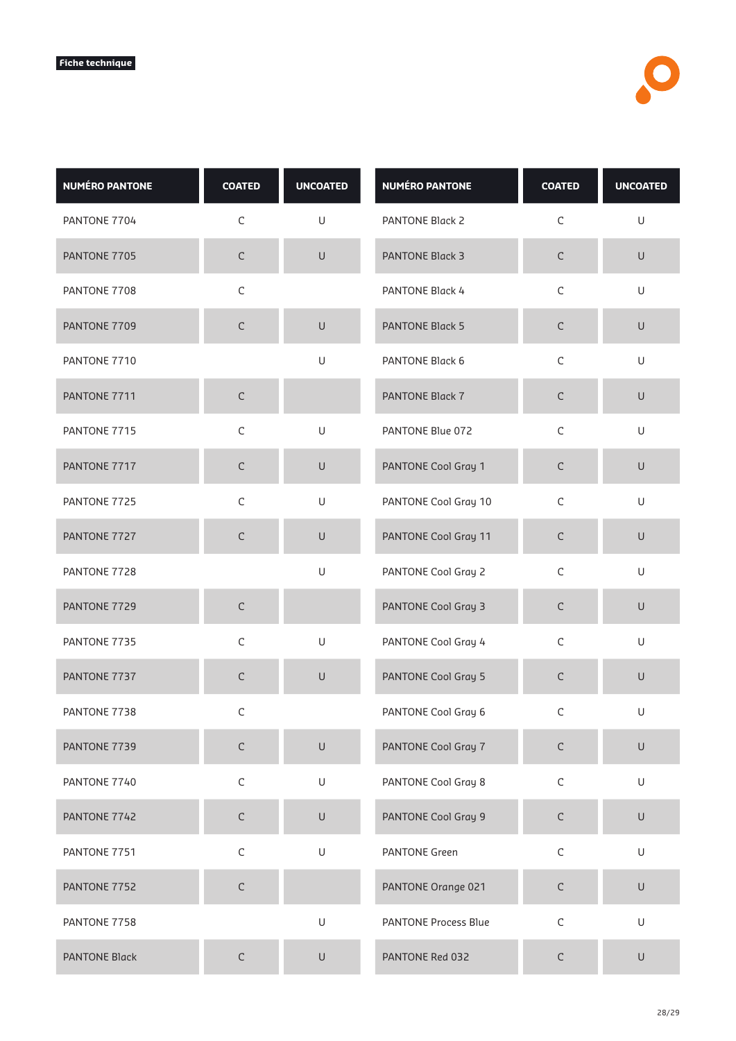| <b>NUMÉRO PANTONE</b> | <b>COATED</b> | <b>UNCOATED</b>                                                                                            | <b>NUMÉRO PANTONE</b>       | <b>COATED</b> | <b>UNCOATED</b>                                                                                            |
|-----------------------|---------------|------------------------------------------------------------------------------------------------------------|-----------------------------|---------------|------------------------------------------------------------------------------------------------------------|
| PANTONE 7704          | $\mathsf C$   | U                                                                                                          | PANTONE Black 2             | $\mathsf C$   | $\sf U$                                                                                                    |
| PANTONE 7705          | $\mathsf C$   | $\sf U$                                                                                                    | <b>PANTONE Black 3</b>      | $\mathsf C$   | $\cup$                                                                                                     |
| PANTONE 7708          | $\mathsf C$   |                                                                                                            | PANTONE Black 4             | $\mathsf C$   | U                                                                                                          |
| PANTONE 7709          | $\mathsf C$   | $\cup$                                                                                                     | <b>PANTONE Black 5</b>      | $\mathsf C$   | U                                                                                                          |
| PANTONE 7710          |               | U                                                                                                          | PANTONE Black 6             | $\mathsf C$   | $\sf U$                                                                                                    |
| PANTONE 7711          | $\mathsf C$   |                                                                                                            | <b>PANTONE Black 7</b>      | $\mathsf C$   | $\cup$                                                                                                     |
| PANTONE 7715          | C             | U                                                                                                          | PANTONE Blue 072            | C             | U                                                                                                          |
| PANTONE 7717          | $\mathsf C$   | $\cup$                                                                                                     | PANTONE Cool Gray 1         | $\mathsf C$   | $\cup$                                                                                                     |
| PANTONE 7725          | $\mathsf C$   | U                                                                                                          | PANTONE Cool Gray 10        | $\mathsf C$   | $\mathsf{U}% _{T}=\mathsf{U}_{T}\!\left( a,b\right) ,\ \mathsf{U}_{T}=\mathsf{U}_{T}\!\left( a,b\right) ,$ |
| PANTONE 7727          | $\mathsf C$   | $\sf U$                                                                                                    | PANTONE Cool Gray 11        | $\mathsf C$   | $\cup$                                                                                                     |
| PANTONE 7728          |               | U                                                                                                          | PANTONE Cool Gray 2         | $\mathsf C$   | $\sf U$                                                                                                    |
| PANTONE 7729          | C             |                                                                                                            | PANTONE Cool Gray 3         | $\mathsf C$   | $\cup$                                                                                                     |
| PANTONE 7735          | $\mathsf C$   | $\mathsf{U}% _{T}=\mathsf{U}_{T}\!\left( a,b\right) ,\ \mathsf{U}_{T}=\mathsf{U}_{T}\!\left( a,b\right) ,$ | PANTONE Cool Gray 4         | $\mathsf C$   | U                                                                                                          |
| PANTONE 7737          | $\mathsf C$   | U                                                                                                          | PANTONE Cool Gray 5         | $\mathsf C$   | $\cup$                                                                                                     |
| PANTONE 7738          | C             |                                                                                                            | PANTONE Cool Gray 6         | С             | U                                                                                                          |
| PANTONE 7739          | $\mathsf C$   | $\cup$                                                                                                     | PANTONE Cool Gray 7         | $\mathsf C$   | $\cup$                                                                                                     |
| PANTONE 7740          | $\mathsf C$   | U                                                                                                          | PANTONE Cool Gray 8         | $\mathsf C$   | $\sf U$                                                                                                    |
| PANTONE 7742          | $\mathsf C$   | $\cup$                                                                                                     | PANTONE Cool Gray 9         | $\mathsf C$   | $\cup$                                                                                                     |
| PANTONE 7751          | $\mathsf C$   | U                                                                                                          | <b>PANTONE Green</b>        | $\mathsf C$   | $\sf U$                                                                                                    |
| PANTONE 7752          | $\mathsf C$   |                                                                                                            | PANTONE Orange 021          | $\mathsf C$   | $\cup$                                                                                                     |
| PANTONE 7758          |               | U                                                                                                          | <b>PANTONE Process Blue</b> | $\mathsf C$   | $\sf U$                                                                                                    |
| <b>PANTONE Black</b>  | $\mathsf C$   | $\cup$                                                                                                     | PANTONE Red 032             | $\mathsf C$   | U                                                                                                          |